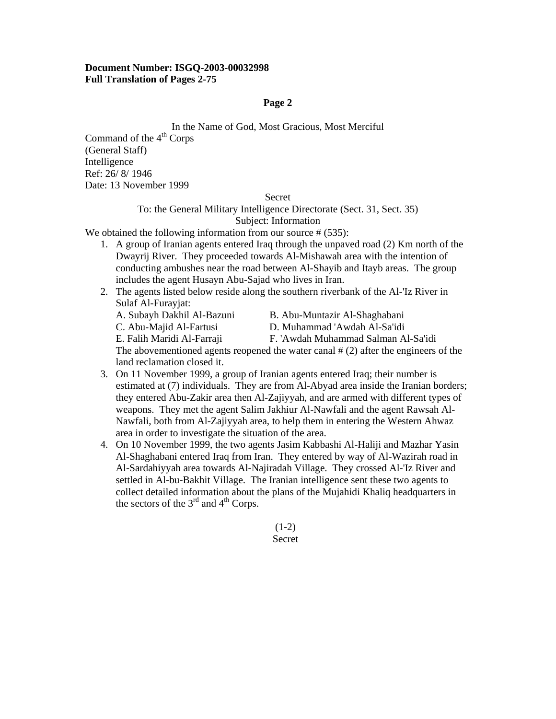In the Name of God, Most Gracious, Most Merciful

Command of the  $4<sup>th</sup>$  Corps (General Staff) Intelligence Ref: 26/ 8/ 1946 Date: 13 November 1999

#### Secret

# To: the General Military Intelligence Directorate (Sect. 31, Sect. 35) Subject: Information

We obtained the following information from our source # (535):

- 1. A group of Iranian agents entered Iraq through the unpaved road (2) Km north of the Dwayrij River. They proceeded towards Al-Mishawah area with the intention of conducting ambushes near the road between Al-Shayib and Itayb areas. The group includes the agent Husayn Abu-Sajad who lives in Iran.
- 2. The agents listed below reside along the southern riverbank of the Al-'Iz River in Sulaf Al-Furayjat:
	- A. Subayh Dakhil Al-Bazuni B. Abu-Muntazir Al-Shaghabani
		-
	-
	- C. Abu-Majid Al-Fartusi D. Muhammad 'Awdah Al-Sa'idi
	- E. Falih Maridi Al-Farraji F. 'Awdah Muhammad Salman Al-Sa'idi
	- The abovementioned agents reopened the water canal  $# (2)$  after the engineers of the land reclamation closed it.
- 3. On 11 November 1999, a group of Iranian agents entered Iraq; their number is estimated at (7) individuals. They are from Al-Abyad area inside the Iranian borders; they entered Abu-Zakir area then Al-Zajiyyah, and are armed with different types of weapons. They met the agent Salim Jakhiur Al-Nawfali and the agent Rawsah Al-Nawfali, both from Al-Zajiyyah area, to help them in entering the Western Ahwaz area in order to investigate the situation of the area.
- 4. On 10 November 1999, the two agents Jasim Kabbashi Al-Haliji and Mazhar Yasin Al-Shaghabani entered Iraq from Iran. They entered by way of Al-Wazirah road in Al-Sardahiyyah area towards Al-Najiradah Village. They crossed Al-'Iz River and settled in Al-bu-Bakhit Village. The Iranian intelligence sent these two agents to collect detailed information about the plans of the Mujahidi Khaliq headquarters in the sectors of the  $3<sup>rd</sup>$  and  $4<sup>th</sup>$  Corps.

 $(1-2)$ Secret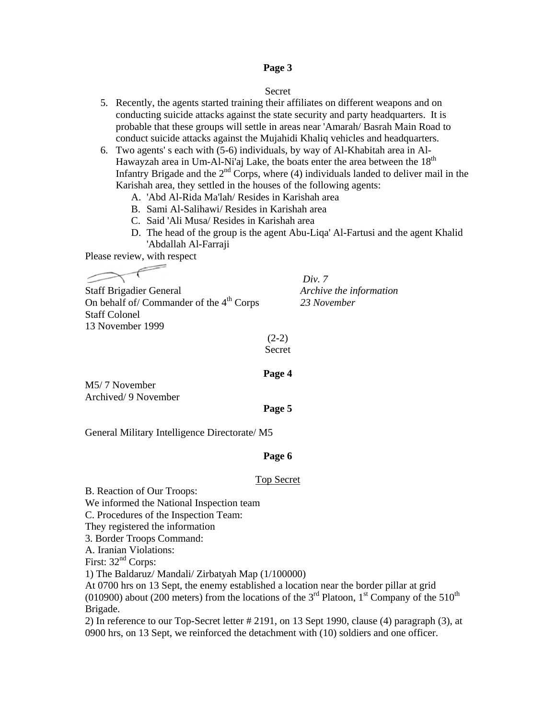#### Secret

- 5. Recently, the agents started training their affiliates on different weapons and on conducting suicide attacks against the state security and party headquarters. It is probable that these groups will settle in areas near 'Amarah/ Basrah Main Road to conduct suicide attacks against the Mujahidi Khaliq vehicles and headquarters.
- 6. Two agents' s each with (5-6) individuals, by way of Al-Khabitah area in Al-Hawayzah area in Um-Al-Ni'aj Lake, the boats enter the area between the  $18<sup>th</sup>$ Infantry Brigade and the  $2<sup>nd</sup>$  Corps, where (4) individuals landed to deliver mail in the Karishah area, they settled in the houses of the following agents:
	- A. 'Abd Al-Rida Ma'lah/ Resides in Karishah area
	- B. Sami Al-Salihawi/ Resides in Karishah area
	- C. Said 'Ali Musa/ Resides in Karishah area
	- D. The head of the group is the agent Abu-Liqa' Al-Fartusi and the agent Khalid 'Abdallah Al-Farraji

Please review, with respect

Staff Brigadier General *Archive the information*  On behalf of/ Commander of the 4<sup>th</sup> Corps 23 November Staff Colonel 13 November 1999

*Div. 7* 

 $(2-2)$ Secret

# **Page 4**

M5/ 7 November Archived/ 9 November

#### **Page 5**

General Military Intelligence Directorate/ M5

#### **Page 6**

#### Top Secret

B. Reaction of Our Troops: We informed the National Inspection team C. Procedures of the Inspection Team: They registered the information 3. Border Troops Command: A. Iranian Violations: First:  $32<sup>nd</sup>$  Corps: 1) The Baldaruz/ Mandali/ Zirbatyah Map (1/100000) At 0700 hrs on 13 Sept, the enemy established a location near the border pillar at grid (010900) about (200 meters) from the locations of the  $3<sup>rd</sup>$  Platoon, 1<sup>st</sup> Company of the 510<sup>th</sup> Brigade.

2) In reference to our Top-Secret letter # 2191, on 13 Sept 1990, clause (4) paragraph (3), at 0900 hrs, on 13 Sept, we reinforced the detachment with (10) soldiers and one officer.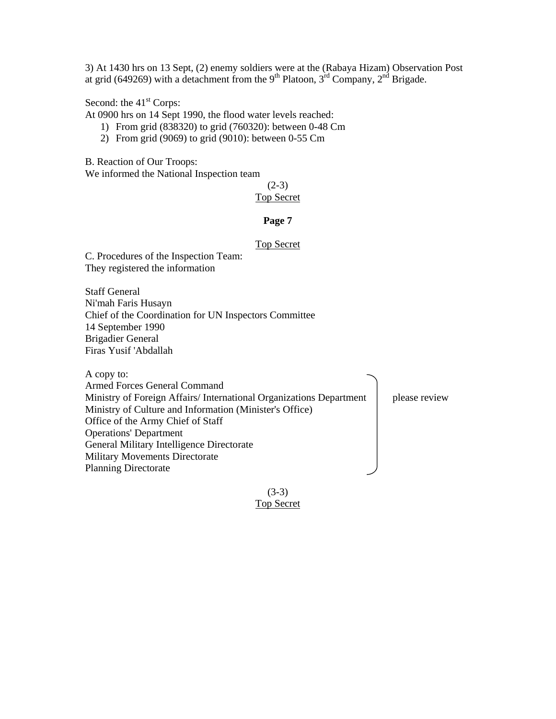3) At 1430 hrs on 13 Sept, (2) enemy soldiers were at the (Rabaya Hizam) Observation Post at grid (649269) with a detachment from the 9<sup>th</sup> Platoon,  $3<sup>rd</sup>$  Company,  $2<sup>nd</sup>$  Brigade.

Second: the 41<sup>st</sup> Corps:

At 0900 hrs on 14 Sept 1990, the flood water levels reached:

- 1) From grid (838320) to grid (760320): between 0-48 Cm
- 2) From grid (9069) to grid (9010): between 0-55 Cm

B. Reaction of Our Troops:

We informed the National Inspection team

 $(2-3)$ 

## Top Secret

# **Page 7**

#### Top Secret

C. Procedures of the Inspection Team: They registered the information

Staff General Ni'mah Faris Husayn Chief of the Coordination for UN Inspectors Committee 14 September 1990 Brigadier General Firas Yusif 'Abdallah

A copy to:

Armed Forces General Command Ministry of Foreign Affairs/International Organizations Department | please review Ministry of Culture and Information (Minister's Office) Office of the Army Chief of Staff Operations' Department General Military Intelligence Directorate Military Movements Directorate Planning Directorate

> $(3-3)$ Top Secret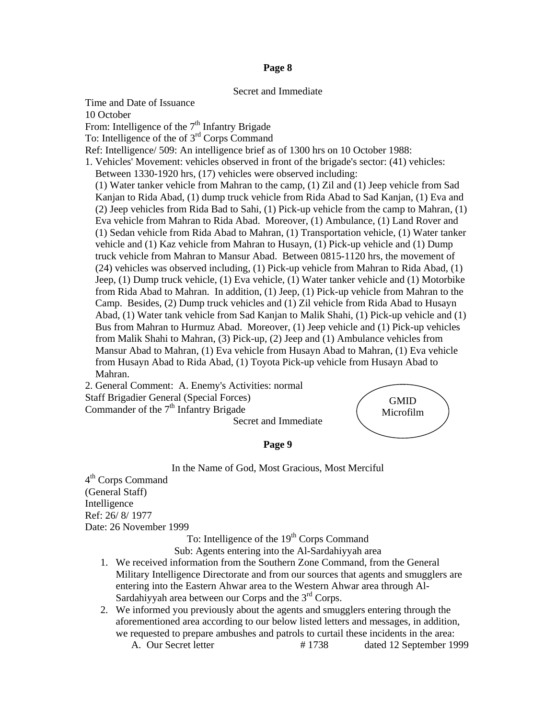# Secret and Immediate

Time and Date of Issuance 10 October From: Intelligence of the  $7<sup>th</sup>$  Infantry Brigade To: Intelligence of the of 3<sup>rd</sup> Corps Command Ref: Intelligence/ 509: An intelligence brief as of 1300 hrs on 10 October 1988: 1. Vehicles' Movement: vehicles observed in front of the brigade's sector: (41) vehicles: Between 1330-1920 hrs, (17) vehicles were observed including: (1) Water tanker vehicle from Mahran to the camp, (1) Zil and (1) Jeep vehicle from Sad Kanjan to Rida Abad, (1) dump truck vehicle from Rida Abad to Sad Kanjan, (1) Eva and (2) Jeep vehicles from Rida Bad to Sahi, (1) Pick-up vehicle from the camp to Mahran, (1) Eva vehicle from Mahran to Rida Abad. Moreover, (1) Ambulance, (1) Land Rover and (1) Sedan vehicle from Rida Abad to Mahran, (1) Transportation vehicle, (1) Water tanker vehicle and (1) Kaz vehicle from Mahran to Husayn, (1) Pick-up vehicle and (1) Dump truck vehicle from Mahran to Mansur Abad. Between 0815-1120 hrs, the movement of (24) vehicles was observed including, (1) Pick-up vehicle from Mahran to Rida Abad, (1) Jeep, (1) Dump truck vehicle, (1) Eva vehicle, (1) Water tanker vehicle and (1) Motorbike from Rida Abad to Mahran. In addition, (1) Jeep, (1) Pick-up vehicle from Mahran to the Camp. Besides, (2) Dump truck vehicles and (1) Zil vehicle from Rida Abad to Husayn Abad, (1) Water tank vehicle from Sad Kanjan to Malik Shahi, (1) Pick-up vehicle and (1) Bus from Mahran to Hurmuz Abad. Moreover, (1) Jeep vehicle and (1) Pick-up vehicles from Malik Shahi to Mahran, (3) Pick-up, (2) Jeep and (1) Ambulance vehicles from Mansur Abad to Mahran, (1) Eva vehicle from Husayn Abad to Mahran, (1) Eva vehicle from Husayn Abad to Rida Abad, (1) Toyota Pick-up vehicle from Husayn Abad to Mahran. 2. General Comment: A. Enemy's Activities: normal

Staff Brigadier General (Special Forces) Commander of the  $7<sup>th</sup>$  Infantry Brigade

Secret and Immediate

**GMID** Microfilm

#### **Page 9**

In the Name of God, Most Gracious, Most Merciful

4th Corps Command (General Staff) Intelligence Ref: 26/ 8/ 1977 Date: 26 November 1999

To: Intelligence of the 19<sup>th</sup> Corps Command

Sub: Agents entering into the Al-Sardahiyyah area

- 1. We received information from the Southern Zone Command, from the General Military Intelligence Directorate and from our sources that agents and smugglers are entering into the Eastern Ahwar area to the Western Ahwar area through Al-Sardahiyyah area between our Corps and the  $3<sup>rd</sup>$  Corps.
- 2. We informed you previously about the agents and smugglers entering through the aforementioned area according to our below listed letters and messages, in addition, we requested to prepare ambushes and patrols to curtail these incidents in the area: A. Our Secret letter # 1738 dated 12 September 1999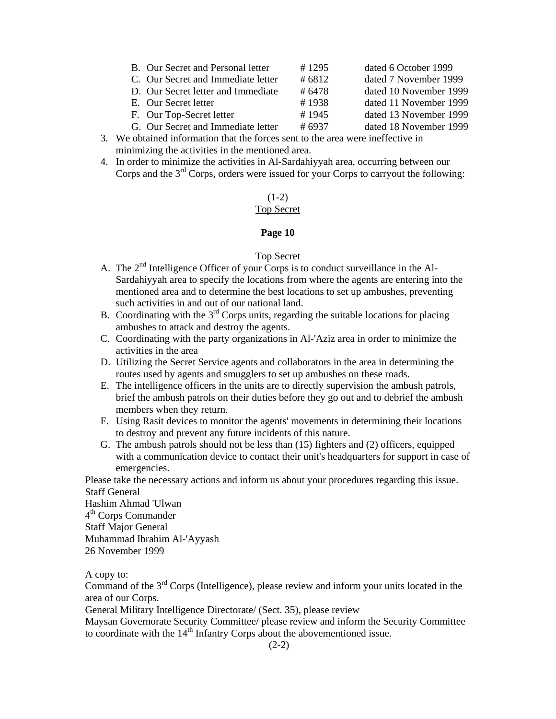| B. Our Secret and Personal letter  | #1295 | dated 6 October 1999   |
|------------------------------------|-------|------------------------|
| C. Our Secret and Immediate letter | #6812 | dated 7 November 1999  |
| D. Our Secret letter and Immediate | #6478 | dated 10 November 1999 |
| E. Our Secret letter               | #1938 | dated 11 November 1999 |
| F. Our Top-Secret letter           | #1945 | dated 13 November 1999 |
| G. Our Secret and Immediate letter | #6937 | dated 18 November 1999 |

- 3. We obtained information that the forces sent to the area were ineffective in minimizing the activities in the mentioned area.
- 4. In order to minimize the activities in Al-Sardahiyyah area, occurring between our Corps and the  $3<sup>rd</sup>$  Corps, orders were issued for your Corps to carryout the following:

# $(1-2)$

# Top Secret

# **Page 10**

# Top Secret

- A. The  $2<sup>nd</sup>$  Intelligence Officer of your Corps is to conduct surveillance in the Al-Sardahiyyah area to specify the locations from where the agents are entering into the mentioned area and to determine the best locations to set up ambushes, preventing such activities in and out of our national land.
- B. Coordinating with the  $3<sup>rd</sup>$  Corps units, regarding the suitable locations for placing ambushes to attack and destroy the agents.
- C. Coordinating with the party organizations in Al-'Aziz area in order to minimize the activities in the area
- D. Utilizing the Secret Service agents and collaborators in the area in determining the routes used by agents and smugglers to set up ambushes on these roads.
- E. The intelligence officers in the units are to directly supervision the ambush patrols, brief the ambush patrols on their duties before they go out and to debrief the ambush members when they return.
- F. Using Rasit devices to monitor the agents' movements in determining their locations to destroy and prevent any future incidents of this nature.
- G. The ambush patrols should not be less than (15) fighters and (2) officers, equipped with a communication device to contact their unit's headquarters for support in case of emergencies.

Please take the necessary actions and inform us about your procedures regarding this issue. Staff General

Hashim Ahmad 'Ulwan 4<sup>th</sup> Corps Commander Staff Major General Muhammad Ibrahim Al-'Ayyash 26 November 1999

A copy to:

Command of the 3rd Corps (Intelligence), please review and inform your units located in the area of our Corps.

General Military Intelligence Directorate/ (Sect. 35), please review

Maysan Governorate Security Committee/ please review and inform the Security Committee to coordinate with the  $14<sup>th</sup>$  Infantry Corps about the abovementioned issue.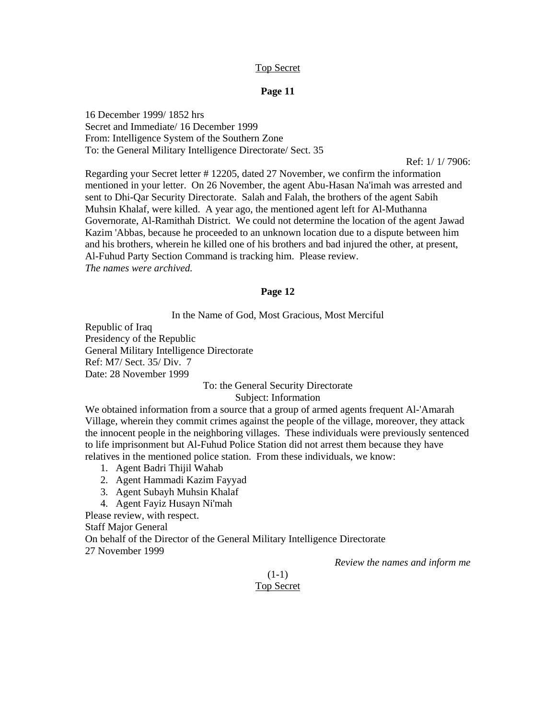# Top Secret

#### **Page 11**

16 December 1999/ 1852 hrs Secret and Immediate/ 16 December 1999 From: Intelligence System of the Southern Zone To: the General Military Intelligence Directorate/ Sect. 35

Ref: 1/ 1/ 7906:

Regarding your Secret letter # 12205, dated 27 November, we confirm the information mentioned in your letter. On 26 November, the agent Abu-Hasan Na'imah was arrested and sent to Dhi-Qar Security Directorate. Salah and Falah, the brothers of the agent Sabih Muhsin Khalaf, were killed. A year ago, the mentioned agent left for Al-Muthanna Governorate, Al-Ramithah District. We could not determine the location of the agent Jawad Kazim 'Abbas, because he proceeded to an unknown location due to a dispute between him and his brothers, wherein he killed one of his brothers and bad injured the other, at present, Al-Fuhud Party Section Command is tracking him. Please review. *The names were archived.* 

#### **Page 12**

In the Name of God, Most Gracious, Most Merciful

Republic of Iraq Presidency of the Republic General Military Intelligence Directorate Ref: M7/ Sect. 35/ Div. 7 Date: 28 November 1999

# To: the General Security Directorate

Subject: Information

We obtained information from a source that a group of armed agents frequent Al-'Amarah Village, wherein they commit crimes against the people of the village, moreover, they attack the innocent people in the neighboring villages. These individuals were previously sentenced to life imprisonment but Al-Fuhud Police Station did not arrest them because they have relatives in the mentioned police station. From these individuals, we know:

- 1. Agent Badri Thijil Wahab
- 2. Agent Hammadi Kazim Fayyad
- 3. Agent Subayh Muhsin Khalaf
- 4. Agent Fayiz Husayn Ni'mah

Please review, with respect.

Staff Major General

On behalf of the Director of the General Military Intelligence Directorate

27 November 1999

*Review the names and inform me* 

# $(1-1)$ Top Secret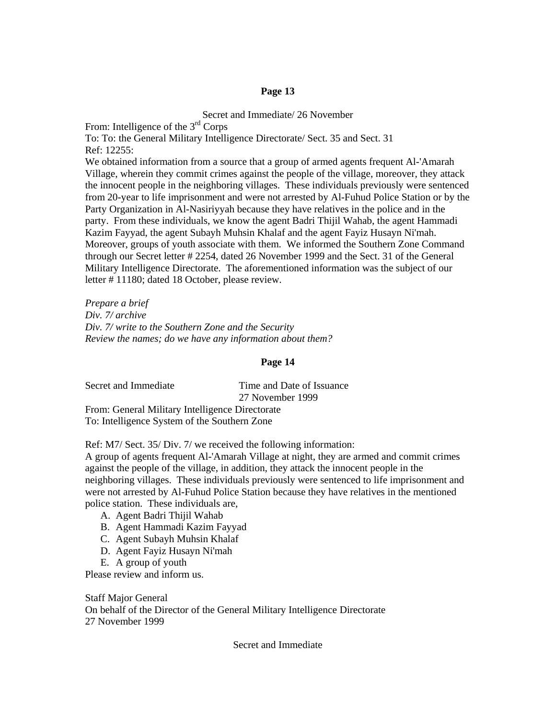Secret and Immediate/ 26 November From: Intelligence of the 3<sup>rd</sup> Corps To: To: the General Military Intelligence Directorate/ Sect. 35 and Sect. 31 Ref: 12255: We obtained information from a source that a group of armed agents frequent Al-'Amarah Village, wherein they commit crimes against the people of the village, moreover, they attack the innocent people in the neighboring villages. These individuals previously were sentenced from 20-year to life imprisonment and were not arrested by Al-Fuhud Police Station or by the Party Organization in Al-Nasiriyyah because they have relatives in the police and in the party. From these individuals, we know the agent Badri Thijil Wahab, the agent Hammadi Kazim Fayyad, the agent Subayh Muhsin Khalaf and the agent Fayiz Husayn Ni'mah. Moreover, groups of youth associate with them. We informed the Southern Zone Command through our Secret letter # 2254, dated 26 November 1999 and the Sect. 31 of the General Military Intelligence Directorate. The aforementioned information was the subject of our letter # 11180; dated 18 October, please review.

*Prepare a brief Div. 7/ archive Div. 7/ write to the Southern Zone and the Security Review the names; do we have any information about them?* 

# **Page 14**

| Secret and Immediate                            | Time and Date of Issuance |  |  |  |
|-------------------------------------------------|---------------------------|--|--|--|
|                                                 | 27 November 1999          |  |  |  |
| From: General Military Intelligence Directorate |                           |  |  |  |
| To: Intelligence System of the Southern Zone    |                           |  |  |  |

Ref: M7/ Sect. 35/ Div. 7/ we received the following information:

A group of agents frequent Al-'Amarah Village at night, they are armed and commit crimes against the people of the village, in addition, they attack the innocent people in the neighboring villages. These individuals previously were sentenced to life imprisonment and were not arrested by Al-Fuhud Police Station because they have relatives in the mentioned police station. These individuals are,

- A. Agent Badri Thijil Wahab
- B. Agent Hammadi Kazim Fayyad
- C. Agent Subayh Muhsin Khalaf
- D. Agent Fayiz Husayn Ni'mah
- E. A group of youth

Please review and inform us.

Staff Major General On behalf of the Director of the General Military Intelligence Directorate 27 November 1999

Secret and Immediate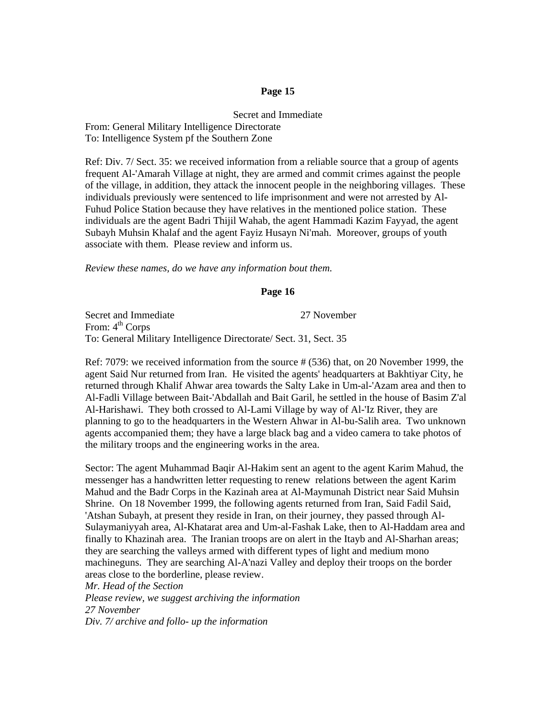Secret and Immediate From: General Military Intelligence Directorate To: Intelligence System pf the Southern Zone

Ref: Div. 7/ Sect. 35: we received information from a reliable source that a group of agents frequent Al-'Amarah Village at night, they are armed and commit crimes against the people of the village, in addition, they attack the innocent people in the neighboring villages. These individuals previously were sentenced to life imprisonment and were not arrested by Al-Fuhud Police Station because they have relatives in the mentioned police station. These individuals are the agent Badri Thijil Wahab, the agent Hammadi Kazim Fayyad, the agent Subayh Muhsin Khalaf and the agent Fayiz Husayn Ni'mah. Moreover, groups of youth associate with them. Please review and inform us.

*Review these names, do we have any information bout them.* 

#### **Page 16**

Secret and Immediate 27 November From: 4<sup>th</sup> Corps To: General Military Intelligence Directorate/ Sect. 31, Sect. 35

Ref: 7079: we received information from the source # (536) that, on 20 November 1999, the agent Said Nur returned from Iran. He visited the agents' headquarters at Bakhtiyar City, he returned through Khalif Ahwar area towards the Salty Lake in Um-al-'Azam area and then to Al-Fadli Village between Bait-'Abdallah and Bait Garil, he settled in the house of Basim Z'al Al-Harishawi. They both crossed to Al-Lami Village by way of Al-'Iz River, they are planning to go to the headquarters in the Western Ahwar in Al-bu-Salih area. Two unknown agents accompanied them; they have a large black bag and a video camera to take photos of the military troops and the engineering works in the area.

Sector: The agent Muhammad Baqir Al-Hakim sent an agent to the agent Karim Mahud, the messenger has a handwritten letter requesting to renew relations between the agent Karim Mahud and the Badr Corps in the Kazinah area at Al-Maymunah District near Said Muhsin Shrine. On 18 November 1999, the following agents returned from Iran, Said Fadil Said, 'Atshan Subayh, at present they reside in Iran, on their journey, they passed through Al-Sulaymaniyyah area, Al-Khatarat area and Um-al-Fashak Lake, then to Al-Haddam area and finally to Khazinah area. The Iranian troops are on alert in the Itayb and Al-Sharhan areas; they are searching the valleys armed with different types of light and medium mono machineguns. They are searching Al-A'nazi Valley and deploy their troops on the border areas close to the borderline, please review.

*Mr. Head of the Section* 

*Please review, we suggest archiving the information 27 November Div. 7/ archive and follo- up the information*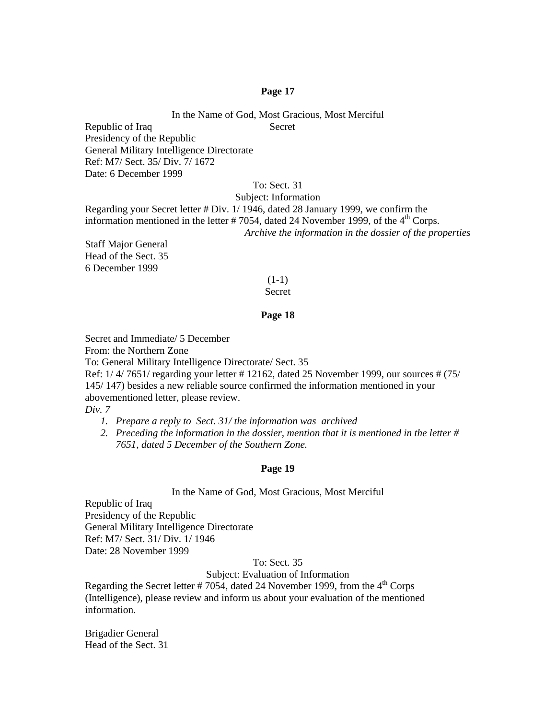In the Name of God, Most Gracious, Most Merciful Republic of Iraq Secret

Presidency of the Republic General Military Intelligence Directorate Ref: M7/ Sect. 35/ Div. 7/ 1672 Date: 6 December 1999

# To: Sect. 31

Subject: Information

Regarding your Secret letter # Div. 1/ 1946, dated 28 January 1999, we confirm the information mentioned in the letter  $# 7054$ , dated 24 November 1999, of the 4<sup>th</sup> Corps. *Archive the information in the dossier of the properties* 

Staff Major General Head of the Sect. 35 6 December 1999

# $(1-1)$

# Secret

# **Page 18**

Secret and Immediate/ 5 December From: the Northern Zone To: General Military Intelligence Directorate/ Sect. 35 Ref: 1/ 4/ 7651/ regarding your letter # 12162, dated 25 November 1999, our sources # (75/ 145/ 147) besides a new reliable source confirmed the information mentioned in your abovementioned letter, please review.

*Div. 7* 

- *1. Prepare a reply to Sect. 31/ the information was archived*
- *2. Preceding the information in the dossier, mention that it is mentioned in the letter # 7651, dated 5 December of the Southern Zone.*

#### **Page 19**

#### In the Name of God, Most Gracious, Most Merciful

Republic of Iraq Presidency of the Republic General Military Intelligence Directorate Ref: M7/ Sect. 31/ Div. 1/ 1946 Date: 28 November 1999

## To: Sect. 35

Subject: Evaluation of Information

Regarding the Secret letter # 7054, dated 24 November 1999, from the  $4<sup>th</sup>$  Corps (Intelligence), please review and inform us about your evaluation of the mentioned information.

Brigadier General Head of the Sect. 31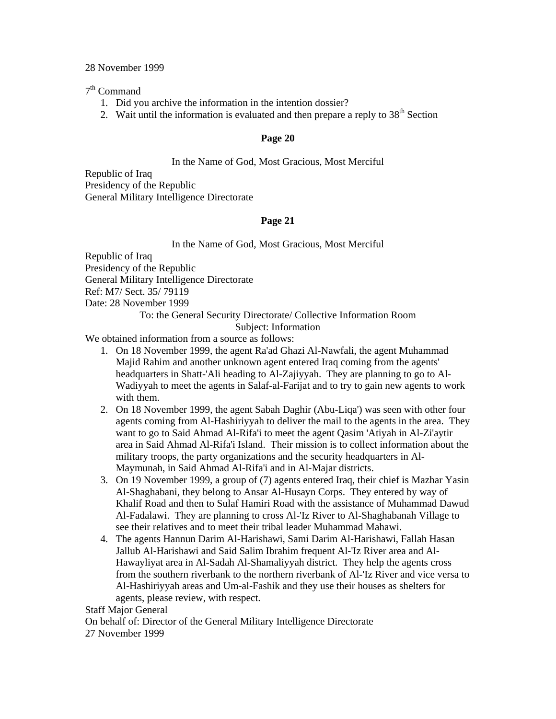# 28 November 1999

# 7th Command

- 1. Did you archive the information in the intention dossier?
- 2. Wait until the information is evaluated and then prepare a reply to  $38<sup>th</sup>$  Section

# **Page 20**

# In the Name of God, Most Gracious, Most Merciful

Republic of Iraq Presidency of the Republic General Military Intelligence Directorate

# **Page 21**

In the Name of God, Most Gracious, Most Merciful

Republic of Iraq Presidency of the Republic General Military Intelligence Directorate Ref: M7/ Sect. 35/ 79119 Date: 28 November 1999

# To: the General Security Directorate/ Collective Information Room Subject: Information

We obtained information from a source as follows:

- 1. On 18 November 1999, the agent Ra'ad Ghazi Al-Nawfali, the agent Muhammad Majid Rahim and another unknown agent entered Iraq coming from the agents' headquarters in Shatt-'Ali heading to Al-Zajiyyah. They are planning to go to Al-Wadiyyah to meet the agents in Salaf-al-Farijat and to try to gain new agents to work with them.
- 2. On 18 November 1999, the agent Sabah Daghir (Abu-Liqa') was seen with other four agents coming from Al-Hashiriyyah to deliver the mail to the agents in the area. They want to go to Said Ahmad Al-Rifa'i to meet the agent Qasim 'Atiyah in Al-Zi'aytir area in Said Ahmad Al-Rifa'i Island. Their mission is to collect information about the military troops, the party organizations and the security headquarters in Al-Maymunah, in Said Ahmad Al-Rifa'i and in Al-Majar districts.
- 3. On 19 November 1999, a group of (7) agents entered Iraq, their chief is Mazhar Yasin Al-Shaghabani, they belong to Ansar Al-Husayn Corps. They entered by way of Khalif Road and then to Sulaf Hamiri Road with the assistance of Muhammad Dawud Al-Fadalawi. They are planning to cross Al-'Iz River to Al-Shaghabanah Village to see their relatives and to meet their tribal leader Muhammad Mahawi.
- 4. The agents Hannun Darim Al-Harishawi, Sami Darim Al-Harishawi, Fallah Hasan Jallub Al-Harishawi and Said Salim Ibrahim frequent Al-'Iz River area and Al-Hawayliyat area in Al-Sadah Al-Shamaliyyah district. They help the agents cross from the southern riverbank to the northern riverbank of Al-'Iz River and vice versa to Al-Hashiriyyah areas and Um-al-Fashik and they use their houses as shelters for agents, please review, with respect.

# Staff Major General

On behalf of: Director of the General Military Intelligence Directorate 27 November 1999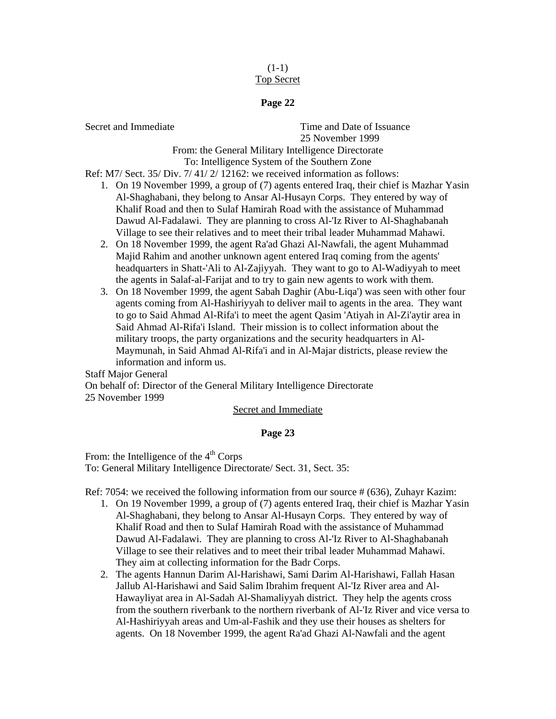# $(1-1)$ Top Secret

# **Page 22**

Secret and Immediate **Time and Date of Issuance** 25 November 1999

From: the General Military Intelligence Directorate To: Intelligence System of the Southern Zone

Ref: M7/ Sect. 35/ Div. 7/ 41/ 2/ 12162: we received information as follows:

- 1. On 19 November 1999, a group of (7) agents entered Iraq, their chief is Mazhar Yasin Al-Shaghabani, they belong to Ansar Al-Husayn Corps. They entered by way of Khalif Road and then to Sulaf Hamirah Road with the assistance of Muhammad Dawud Al-Fadalawi. They are planning to cross Al-'Iz River to Al-Shaghabanah Village to see their relatives and to meet their tribal leader Muhammad Mahawi.
- 2. On 18 November 1999, the agent Ra'ad Ghazi Al-Nawfali, the agent Muhammad Majid Rahim and another unknown agent entered Iraq coming from the agents' headquarters in Shatt-'Ali to Al-Zajiyyah. They want to go to Al-Wadiyyah to meet the agents in Salaf-al-Farijat and to try to gain new agents to work with them.
- 3. On 18 November 1999, the agent Sabah Daghir (Abu-Liqa') was seen with other four agents coming from Al-Hashiriyyah to deliver mail to agents in the area. They want to go to Said Ahmad Al-Rifa'i to meet the agent Qasim 'Atiyah in Al-Zi'aytir area in Said Ahmad Al-Rifa'i Island. Their mission is to collect information about the military troops, the party organizations and the security headquarters in Al-Maymunah, in Said Ahmad Al-Rifa'i and in Al-Majar districts, please review the information and inform us.

Staff Major General On behalf of: Director of the General Military Intelligence Directorate 25 November 1999

# Secret and Immediate

# **Page 23**

From: the Intelligence of the  $4<sup>th</sup>$  Corps To: General Military Intelligence Directorate/ Sect. 31, Sect. 35:

Ref: 7054: we received the following information from our source # (636), Zuhayr Kazim:

- 1. On 19 November 1999, a group of (7) agents entered Iraq, their chief is Mazhar Yasin Al-Shaghabani, they belong to Ansar Al-Husayn Corps. They entered by way of Khalif Road and then to Sulaf Hamirah Road with the assistance of Muhammad Dawud Al-Fadalawi. They are planning to cross Al-'Iz River to Al-Shaghabanah Village to see their relatives and to meet their tribal leader Muhammad Mahawi. They aim at collecting information for the Badr Corps.
- 2. The agents Hannun Darim Al-Harishawi, Sami Darim Al-Harishawi, Fallah Hasan Jallub Al-Harishawi and Said Salim Ibrahim frequent Al-'Iz River area and Al-Hawayliyat area in Al-Sadah Al-Shamaliyyah district. They help the agents cross from the southern riverbank to the northern riverbank of Al-'Iz River and vice versa to Al-Hashiriyyah areas and Um-al-Fashik and they use their houses as shelters for agents. On 18 November 1999, the agent Ra'ad Ghazi Al-Nawfali and the agent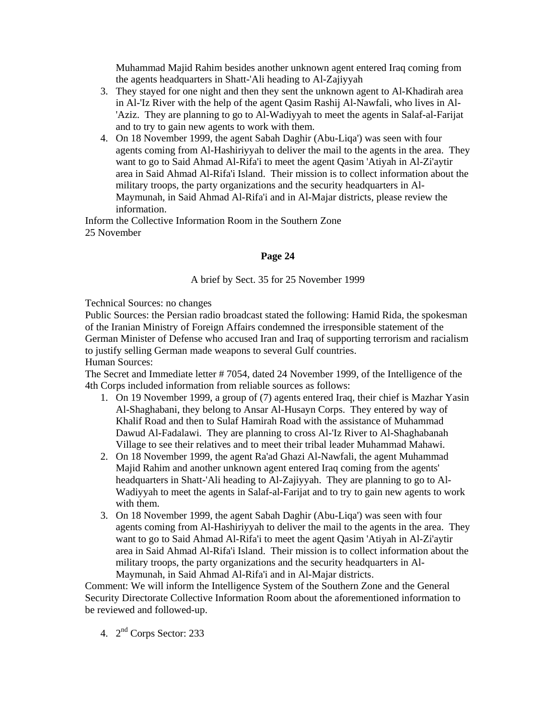Muhammad Majid Rahim besides another unknown agent entered Iraq coming from the agents headquarters in Shatt-'Ali heading to Al-Zajiyyah

- 3. They stayed for one night and then they sent the unknown agent to Al-Khadirah area in Al-'Iz River with the help of the agent Qasim Rashij Al-Nawfali, who lives in Al- 'Aziz. They are planning to go to Al-Wadiyyah to meet the agents in Salaf-al-Farijat and to try to gain new agents to work with them.
- 4. On 18 November 1999, the agent Sabah Daghir (Abu-Liqa') was seen with four agents coming from Al-Hashiriyyah to deliver the mail to the agents in the area. They want to go to Said Ahmad Al-Rifa'i to meet the agent Qasim 'Atiyah in Al-Zi'aytir area in Said Ahmad Al-Rifa'i Island. Their mission is to collect information about the military troops, the party organizations and the security headquarters in Al-Maymunah, in Said Ahmad Al-Rifa'i and in Al-Majar districts, please review the information.

Inform the Collective Information Room in the Southern Zone 25 November

# **Page 24**

# A brief by Sect. 35 for 25 November 1999

Technical Sources: no changes

Public Sources: the Persian radio broadcast stated the following: Hamid Rida, the spokesman of the Iranian Ministry of Foreign Affairs condemned the irresponsible statement of the German Minister of Defense who accused Iran and Iraq of supporting terrorism and racialism to justify selling German made weapons to several Gulf countries. Human Sources:

The Secret and Immediate letter # 7054, dated 24 November 1999, of the Intelligence of the 4th Corps included information from reliable sources as follows:

- 1. On 19 November 1999, a group of (7) agents entered Iraq, their chief is Mazhar Yasin Al-Shaghabani, they belong to Ansar Al-Husayn Corps. They entered by way of Khalif Road and then to Sulaf Hamirah Road with the assistance of Muhammad Dawud Al-Fadalawi. They are planning to cross Al-'Iz River to Al-Shaghabanah Village to see their relatives and to meet their tribal leader Muhammad Mahawi.
- 2. On 18 November 1999, the agent Ra'ad Ghazi Al-Nawfali, the agent Muhammad Majid Rahim and another unknown agent entered Iraq coming from the agents' headquarters in Shatt-'Ali heading to Al-Zajiyyah. They are planning to go to Al-Wadiyyah to meet the agents in Salaf-al-Farijat and to try to gain new agents to work with them.
- 3. On 18 November 1999, the agent Sabah Daghir (Abu-Liqa') was seen with four agents coming from Al-Hashiriyyah to deliver the mail to the agents in the area. They want to go to Said Ahmad Al-Rifa'i to meet the agent Qasim 'Atiyah in Al-Zi'aytir area in Said Ahmad Al-Rifa'i Island. Their mission is to collect information about the military troops, the party organizations and the security headquarters in Al-Maymunah, in Said Ahmad Al-Rifa'i and in Al-Majar districts.

Comment: We will inform the Intelligence System of the Southern Zone and the General Security Directorate Collective Information Room about the aforementioned information to be reviewed and followed-up.

4. 2nd Corps Sector: 233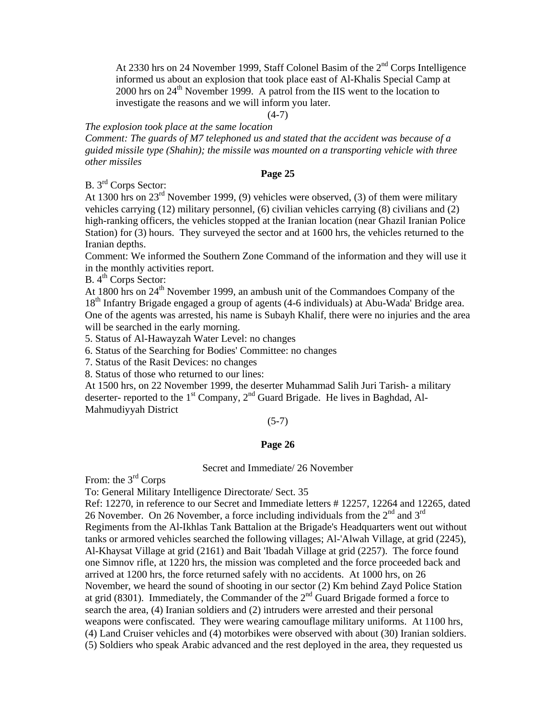At 2330 hrs on 24 November 1999, Staff Colonel Basim of the 2nd Corps Intelligence informed us about an explosion that took place east of Al-Khalis Special Camp at 2000 hrs on  $24<sup>th</sup>$  November 1999. A patrol from the IIS went to the location to investigate the reasons and we will inform you later.

 $(4-7)$ 

*The explosion took place at the same location* 

*Comment: The guards of M7 telephoned us and stated that the accident was because of a guided missile type (Shahin); the missile was mounted on a transporting vehicle with three other missiles* 

# **Page 25**

B. 3rd Corps Sector:

At 1300 hrs on 23rd November 1999, (9) vehicles were observed, (3) of them were military vehicles carrying (12) military personnel, (6) civilian vehicles carrying (8) civilians and (2) high-ranking officers, the vehicles stopped at the Iranian location (near Ghazil Iranian Police Station) for (3) hours. They surveyed the sector and at 1600 hrs, the vehicles returned to the Iranian depths.

Comment: We informed the Southern Zone Command of the information and they will use it in the monthly activities report.

 $B. 4<sup>th</sup>$  Corps Sector:

At 1800 hrs on 24<sup>th</sup> November 1999, an ambush unit of the Commandoes Company of the 18<sup>th</sup> Infantry Brigade engaged a group of agents (4-6 individuals) at Abu-Wada<sup>'</sup> Bridge area. One of the agents was arrested, his name is Subayh Khalif, there were no injuries and the area will be searched in the early morning.

5. Status of Al-Hawayzah Water Level: no changes

6. Status of the Searching for Bodies' Committee: no changes

7. Status of the Rasit Devices: no changes

8. Status of those who returned to our lines:

At 1500 hrs, on 22 November 1999, the deserter Muhammad Salih Juri Tarish- a military deserter- reported to the  $1<sup>st</sup>$  Company,  $2<sup>nd</sup>$  Guard Brigade. He lives in Baghdad, Al-Mahmudiyyah District

# $(5-7)$

# **Page 26**

#### Secret and Immediate/ 26 November

From: the 3<sup>rd</sup> Corps

To: General Military Intelligence Directorate/ Sect. 35

Ref: 12270, in reference to our Secret and Immediate letters # 12257, 12264 and 12265, dated 26 November. On 26 November, a force including individuals from the  $2<sup>nd</sup>$  and  $3<sup>rd</sup>$ Regiments from the Al-Ikhlas Tank Battalion at the Brigade's Headquarters went out without tanks or armored vehicles searched the following villages; Al-'Alwah Village, at grid (2245), Al-Khaysat Village at grid (2161) and Bait 'Ibadah Village at grid (2257). The force found one Simnov rifle, at 1220 hrs, the mission was completed and the force proceeded back and arrived at 1200 hrs, the force returned safely with no accidents. At 1000 hrs, on 26 November, we heard the sound of shooting in our sector (2) Km behind Zayd Police Station at grid (8301). Immediately, the Commander of the 2<sup>nd</sup> Guard Brigade formed a force to search the area, (4) Iranian soldiers and (2) intruders were arrested and their personal weapons were confiscated. They were wearing camouflage military uniforms. At 1100 hrs, (4) Land Cruiser vehicles and (4) motorbikes were observed with about (30) Iranian soldiers. (5) Soldiers who speak Arabic advanced and the rest deployed in the area, they requested us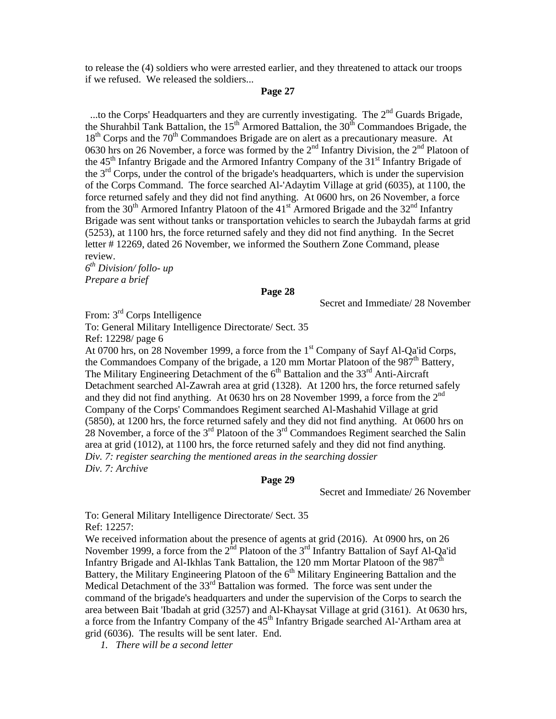to release the (4) soldiers who were arrested earlier, and they threatened to attack our troops if we refused. We released the soldiers...

#### **Page 27**

...to the Corps' Headquarters and they are currently investigating. The  $2<sup>nd</sup>$  Guards Brigade, the Shurahbil Tank Battalion, the  $15<sup>th</sup>$  Armored Battalion, the  $30<sup>th</sup>$  Commandoes Brigade, the  $18<sup>th</sup>$  Corps and the 70<sup>th</sup> Commandoes Brigade are on alert as a precautionary measure. At 0630 hrs on 26 November, a force was formed by the  $2<sup>nd</sup>$  Infantry Division, the  $2<sup>nd</sup>$  Platoon of the  $45<sup>th</sup>$  Infantry Brigade and the Armored Infantry Company of the  $31<sup>st</sup>$  Infantry Brigade of the  $3<sup>rd</sup>$  Corps, under the control of the brigade's headquarters, which is under the supervision of the Corps Command. The force searched Al-'Adaytim Village at grid (6035), at 1100, the force returned safely and they did not find anything. At 0600 hrs, on 26 November, a force from the 30<sup>th</sup> Armored Infantry Platoon of the 41<sup>st</sup> Armored Brigade and the 32<sup>nd</sup> Infantry Brigade was sent without tanks or transportation vehicles to search the Jubaydah farms at grid (5253), at 1100 hrs, the force returned safely and they did not find anything. In the Secret letter # 12269, dated 26 November, we informed the Southern Zone Command, please review.

*6th Division/ follo- up Prepare a brief*

#### **Page 28**

Secret and Immediate/ 28 November

From: 3<sup>rd</sup> Corps Intelligence

To: General Military Intelligence Directorate/ Sect. 35

Ref: 12298/ page 6

At 0700 hrs, on 28 November 1999, a force from the  $1<sup>st</sup>$  Company of Sayf Al-Qa'id Corps, the Commandoes Company of the brigade, a 120 mm Mortar Platoon of the  $987<sup>th</sup>$  Battery, The Military Engineering Detachment of the  $6<sup>th</sup>$  Battalion and the 33<sup>rd</sup> Anti-Aircraft Detachment searched Al-Zawrah area at grid (1328). At 1200 hrs, the force returned safely and they did not find anything. At 0630 hrs on 28 November 1999, a force from the  $2<sup>nd</sup>$ Company of the Corps' Commandoes Regiment searched Al-Mashahid Village at grid (5850), at 1200 hrs, the force returned safely and they did not find anything. At 0600 hrs on 28 November, a force of the  $3<sup>rd</sup>$  Platoon of the  $3<sup>rd</sup>$  Commandoes Regiment searched the Salin area at grid (1012), at 1100 hrs, the force returned safely and they did not find anything. *Div. 7: register searching the mentioned areas in the searching dossier Div. 7: Archive* 

#### **Page 29**

Secret and Immediate/ 26 November

To: General Military Intelligence Directorate/ Sect. 35 Ref: 12257:

We received information about the presence of agents at grid (2016). At 0900 hrs, on 26 November 1999, a force from the  $2<sup>nd</sup>$  Platoon of the  $3<sup>rd</sup>$  Infantry Battalion of Sayf Al-Qa'id Infantry Brigade and Al-Ikhlas Tank Battalion, the 120 mm Mortar Platoon of the  $987<sup>th</sup>$ Battery, the Military Engineering Platoon of the  $6<sup>th</sup>$  Military Engineering Battalion and the Medical Detachment of the  $33<sup>rd</sup>$  Battalion was formed. The force was sent under the command of the brigade's headquarters and under the supervision of the Corps to search the area between Bait 'Ibadah at grid (3257) and Al-Khaysat Village at grid (3161). At 0630 hrs, a force from the Infantry Company of the 45<sup>th</sup> Infantry Brigade searched Al-'Artham area at grid (6036). The results will be sent later. End.

*1. There will be a second letter*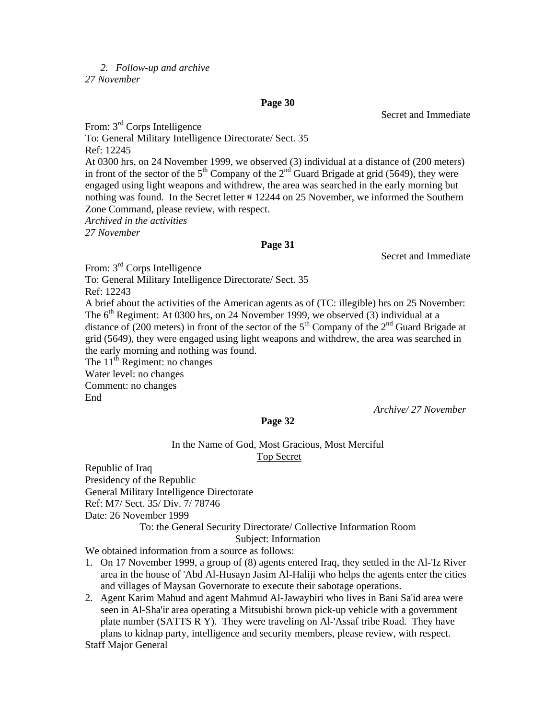# *2. Follow-up and archive*

*27 November* 

#### **Page 30**

Secret and Immediate

From: 3rd Corps Intelligence To: General Military Intelligence Directorate/ Sect. 35 Ref: 12245 At 0300 hrs, on 24 November 1999, we observed (3) individual at a distance of (200 meters) in front of the sector of the  $5<sup>th</sup>$  Company of the  $2<sup>nd</sup>$  Guard Brigade at grid (5649), they were engaged using light weapons and withdrew, the area was searched in the early morning but nothing was found. In the Secret letter # 12244 on 25 November, we informed the Southern Zone Command, please review, with respect. *Archived in the activities 27 November*

# **Page 31**

Secret and Immediate

From:  $3<sup>rd</sup>$  Corps Intelligence To: General Military Intelligence Directorate/ Sect. 35 Ref: 12243 A brief about the activities of the American agents as of (TC: illegible) hrs on 25 November: The  $6<sup>th</sup>$  Regiment: At 0300 hrs, on 24 November 1999, we observed (3) individual at a distance of (200 meters) in front of the sector of the  $5<sup>th</sup>$  Company of the  $2<sup>nd</sup>$  Guard Brigade at grid (5649), they were engaged using light weapons and withdrew, the area was searched in the early morning and nothing was found. The  $11<sup>th</sup>$  Regiment: no changes Water level: no changes Comment: no changes End  *Archive/ 27 November* 

# In the Name of God, Most Gracious, Most Merciful Top Secret

**Page 32** 

Republic of Iraq Presidency of the Republic General Military Intelligence Directorate Ref: M7/ Sect. 35/ Div. 7/ 78746 Date: 26 November 1999 To: the General Security Directorate/ Collective Information Room

Subject: Information

We obtained information from a source as follows:

- 1. On 17 November 1999, a group of (8) agents entered Iraq, they settled in the Al-'Iz River area in the house of 'Abd Al-Husayn Jasim Al-Haliji who helps the agents enter the cities and villages of Maysan Governorate to execute their sabotage operations.
- 2. Agent Karim Mahud and agent Mahmud Al-Jawaybiri who lives in Bani Sa'id area were seen in Al-Sha'ir area operating a Mitsubishi brown pick-up vehicle with a government plate number (SATTS R Y). They were traveling on Al-'Assaf tribe Road. They have plans to kidnap party, intelligence and security members, please review, with respect.

Staff Major General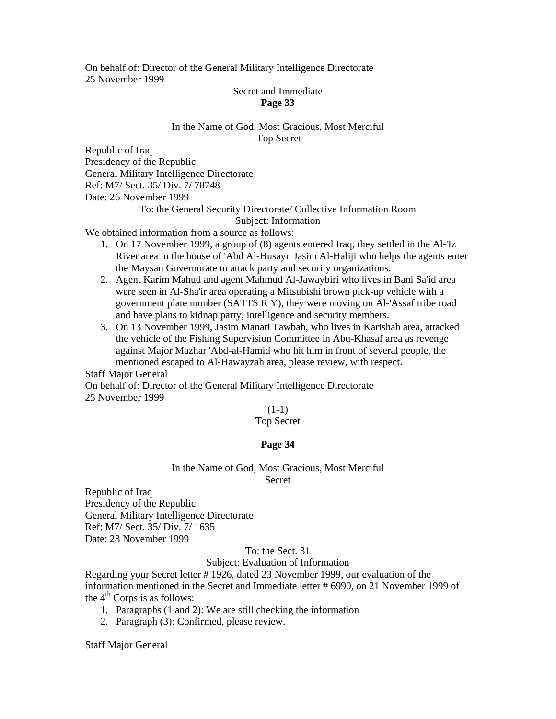On behalf of: Director of the General Military Intelligence Directorate 25 November 1999

# Secret and Immediate **Page 33**

# In the Name of God, Most Gracious, Most Merciful Top Secret

Republic of Iraq Presidency of the Republic General Military Intelligence Directorate Ref: M7/ Sect. 35/ Div. 7/ 78748 Date: 26 November 1999

# To: the General Security Directorate/ Collective Information Room Subject: Information

We obtained information from a source as follows:

- 1. On 17 November 1999, a group of (8) agents entered Iraq, they settled in the Al-'Iz River area in the house of 'Abd Al-Husayn Jasim Al-Haliji who helps the agents enter the Maysan Governorate to attack party and security organizations.
- 2. Agent Karim Mahud and agent Mahmud Al-Jawaybiri who lives in Bani Sa'id area were seen in Al-Sha'ir area operating a Mitsubishi brown pick-up vehicle with a government plate number (SATTS R Y), they were moving on Al-'Assaf tribe road and have plans to kidnap party, intelligence and security members.
- 3. On 13 November 1999, Jasim Manati Tawbah, who lives in Karishah area, attacked the vehicle of the Fishing Supervision Committee in Abu-Khasaf area as revenge against Major Mazhar 'Abd-al-Hamid who hit him in front of several people, the mentioned escaped to Al-Hawayzah area, please review, with respect.

Staff Major General

On behalf of: Director of the General Military Intelligence Directorate 25 November 1999

 $(1-1)$ 

# Top Secret

# **Page 34**

#### In the Name of God, Most Gracious, Most Merciful Secret

Republic of Iraq Presidency of the Republic General Military Intelligence Directorate Ref: M7/ Sect. 35/ Div. 7/ 1635 Date: 28 November 1999

# To: the Sect. 31

# Subject: Evaluation of Information

Regarding your Secret letter # 1926, dated 23 November 1999, our evaluation of the information mentioned in the Secret and Immediate letter # 6990, on 21 November 1999 of the  $4<sup>th</sup>$  Corps is as follows:

- 1. Paragraphs (1 and 2): We are still checking the information
- 2. Paragraph (3): Confirmed, please review.

Staff Major General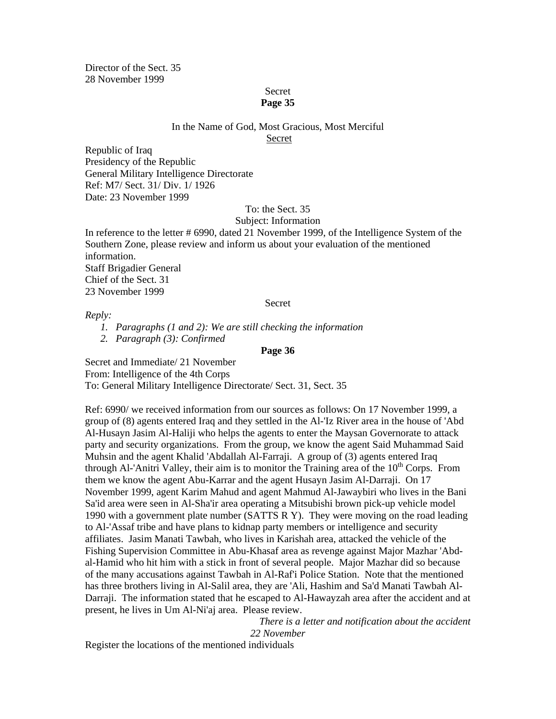Director of the Sect. 35 28 November 1999

# Secret

# **Page 35**

# In the Name of God, Most Gracious, Most Merciful

Secret

Republic of Iraq Presidency of the Republic General Military Intelligence Directorate Ref: M7/ Sect. 31/ Div. 1/ 1926 Date: 23 November 1999

# To: the Sect. 35

# Subject: Information

In reference to the letter # 6990, dated 21 November 1999, of the Intelligence System of the Southern Zone, please review and inform us about your evaluation of the mentioned information. Staff Brigadier General Chief of the Sect. 31 23 November 1999

Secret

*Reply:* 

*1. Paragraphs (1 and 2): We are still checking the information* 

*2. Paragraph (3): Confirmed* 

# **Page 36**

Secret and Immediate/ 21 November From: Intelligence of the 4th Corps To: General Military Intelligence Directorate/ Sect. 31, Sect. 35

Ref: 6990/ we received information from our sources as follows: On 17 November 1999, a group of (8) agents entered Iraq and they settled in the Al-'Iz River area in the house of 'Abd Al-Husayn Jasim Al-Haliji who helps the agents to enter the Maysan Governorate to attack party and security organizations. From the group, we know the agent Said Muhammad Said Muhsin and the agent Khalid 'Abdallah Al-Farraji. A group of (3) agents entered Iraq through Al-'Anitri Valley, their aim is to monitor the Training area of the  $10<sup>th</sup>$  Corps. From them we know the agent Abu-Karrar and the agent Husayn Jasim Al-Darraji. On 17 November 1999, agent Karim Mahud and agent Mahmud Al-Jawaybiri who lives in the Bani Sa'id area were seen in Al-Sha'ir area operating a Mitsubishi brown pick-up vehicle model 1990 with a government plate number (SATTS R Y). They were moving on the road leading to Al-'Assaf tribe and have plans to kidnap party members or intelligence and security affiliates. Jasim Manati Tawbah, who lives in Karishah area, attacked the vehicle of the Fishing Supervision Committee in Abu-Khasaf area as revenge against Major Mazhar 'Abdal-Hamid who hit him with a stick in front of several people. Major Mazhar did so because of the many accusations against Tawbah in Al-Raf'i Police Station. Note that the mentioned has three brothers living in Al-Salil area, they are 'Ali, Hashim and Sa'd Manati Tawbah Al-Darraji. The information stated that he escaped to Al-Hawayzah area after the accident and at present, he lives in Um Al-Ni'aj area. Please review.

> *There is a letter and notification about the accident 22 November*

Register the locations of the mentioned individuals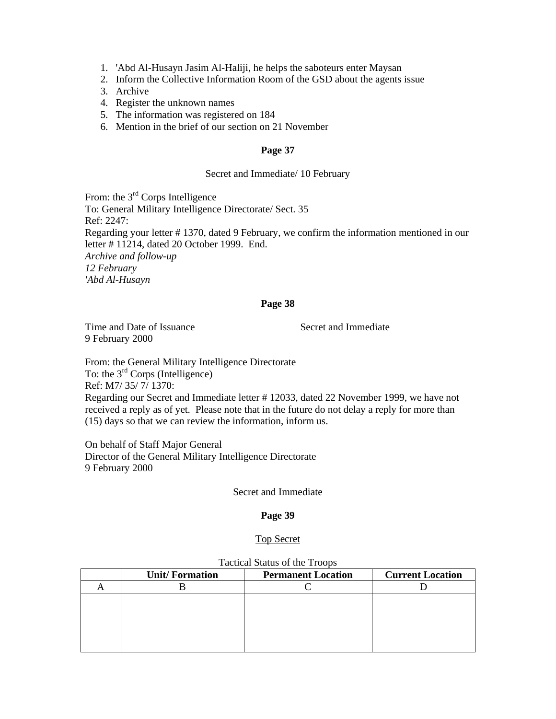- 1. 'Abd Al-Husayn Jasim Al-Haliji, he helps the saboteurs enter Maysan
- 2. Inform the Collective Information Room of the GSD about the agents issue
- 3. Archive
- 4. Register the unknown names
- 5. The information was registered on 184
- 6. Mention in the brief of our section on 21 November

#### Secret and Immediate/ 10 February

From: the 3<sup>rd</sup> Corps Intelligence To: General Military Intelligence Directorate/ Sect. 35 Ref: 2247: Regarding your letter # 1370, dated 9 February, we confirm the information mentioned in our letter # 11214, dated 20 October 1999. End. *Archive and follow-up 12 February 'Abd Al-Husayn*

#### **Page 38**

Time and Date of Issuance Secret and Immediate 9 February 2000

From: the General Military Intelligence Directorate To: the  $3<sup>rd</sup>$  Corps (Intelligence) Ref: M7/ 35/ 7/ 1370: Regarding our Secret and Immediate letter # 12033, dated 22 November 1999, we have not received a reply as of yet. Please note that in the future do not delay a reply for more than (15) days so that we can review the information, inform us.

On behalf of Staff Major General Director of the General Military Intelligence Directorate 9 February 2000

Secret and Immediate

#### **Page 39**

#### Top Secret

| <b>Unit/Formation</b> | <b>Permanent Location</b> | <b>Current Location</b> |
|-----------------------|---------------------------|-------------------------|
|                       |                           |                         |
|                       |                           |                         |
|                       |                           |                         |
|                       |                           |                         |
|                       |                           |                         |
|                       |                           |                         |

#### Tactical Status of the Troops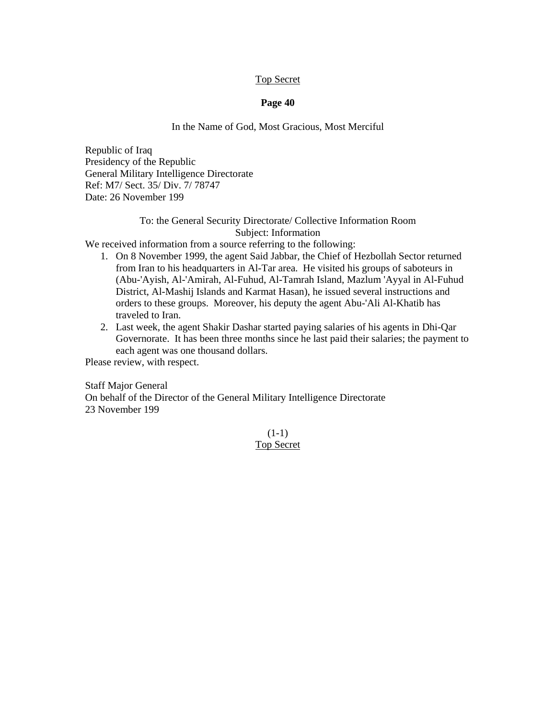# Top Secret

# **Page 40**

# In the Name of God, Most Gracious, Most Merciful

Republic of Iraq Presidency of the Republic General Military Intelligence Directorate Ref: M7/ Sect. 35/ Div. 7/ 78747 Date: 26 November 199

# To: the General Security Directorate/ Collective Information Room Subject: Information

We received information from a source referring to the following:

- 1. On 8 November 1999, the agent Said Jabbar, the Chief of Hezbollah Sector returned from Iran to his headquarters in Al-Tar area. He visited his groups of saboteurs in (Abu-'Ayish, Al-'Amirah, Al-Fuhud, Al-Tamrah Island, Mazlum 'Ayyal in Al-Fuhud District, Al-Mashij Islands and Karmat Hasan), he issued several instructions and orders to these groups. Moreover, his deputy the agent Abu-'Ali Al-Khatib has traveled to Iran.
- 2. Last week, the agent Shakir Dashar started paying salaries of his agents in Dhi-Qar Governorate. It has been three months since he last paid their salaries; the payment to each agent was one thousand dollars.

Please review, with respect.

Staff Major General On behalf of the Director of the General Military Intelligence Directorate 23 November 199

> $(1-1)$ Top Secret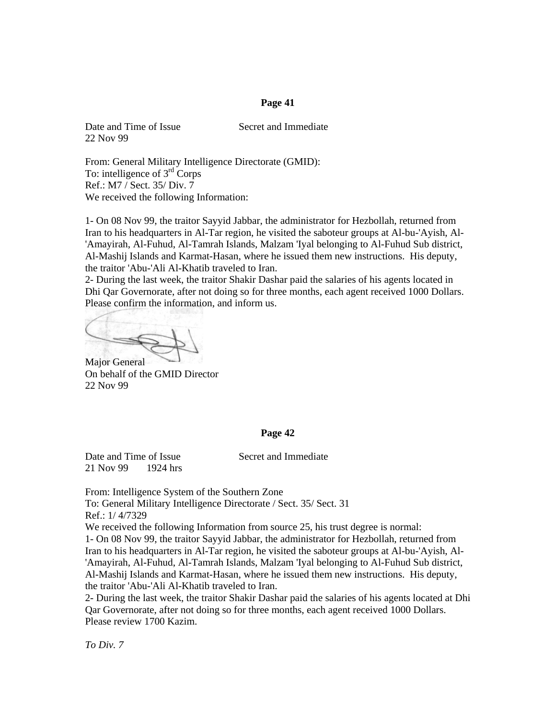Date and Time of Issue Secret and Immediate 22 Nov 99

From: General Military Intelligence Directorate (GMID): To: intelligence of 3rd Corps Ref.: M7 / Sect. 35/ Div. 7 We received the following Information:

1- On 08 Nov 99, the traitor Sayyid Jabbar, the administrator for Hezbollah, returned from Iran to his headquarters in Al-Tar region, he visited the saboteur groups at Al-bu-'Ayish, Al- 'Amayirah, Al-Fuhud, Al-Tamrah Islands, Malzam 'Iyal belonging to Al-Fuhud Sub district, Al-Mashij Islands and Karmat-Hasan, where he issued them new instructions. His deputy, the traitor 'Abu-'Ali Al-Khatib traveled to Iran.

2- During the last week, the traitor Shakir Dashar paid the salaries of his agents located in Dhi Qar Governorate, after not doing so for three months, each agent received 1000 Dollars. Please confirm the information, and inform us.

Major General On behalf of the GMID Director 22 Nov 99

#### **Page 42**

21 Nov 99 1924 hrs

Date and Time of Issue Secret and Immediate

From: Intelligence System of the Southern Zone To: General Military Intelligence Directorate / Sect. 35/ Sect. 31 Ref.: 1/ 4/7329

We received the following Information from source 25, his trust degree is normal:

1- On 08 Nov 99, the traitor Sayyid Jabbar, the administrator for Hezbollah, returned from Iran to his headquarters in Al-Tar region, he visited the saboteur groups at Al-bu-'Ayish, Al- 'Amayirah, Al-Fuhud, Al-Tamrah Islands, Malzam 'Iyal belonging to Al-Fuhud Sub district, Al-Mashij Islands and Karmat-Hasan, where he issued them new instructions. His deputy, the traitor 'Abu-'Ali Al-Khatib traveled to Iran.

2- During the last week, the traitor Shakir Dashar paid the salaries of his agents located at Dhi Qar Governorate, after not doing so for three months, each agent received 1000 Dollars. Please review 1700 Kazim.

*To Div. 7*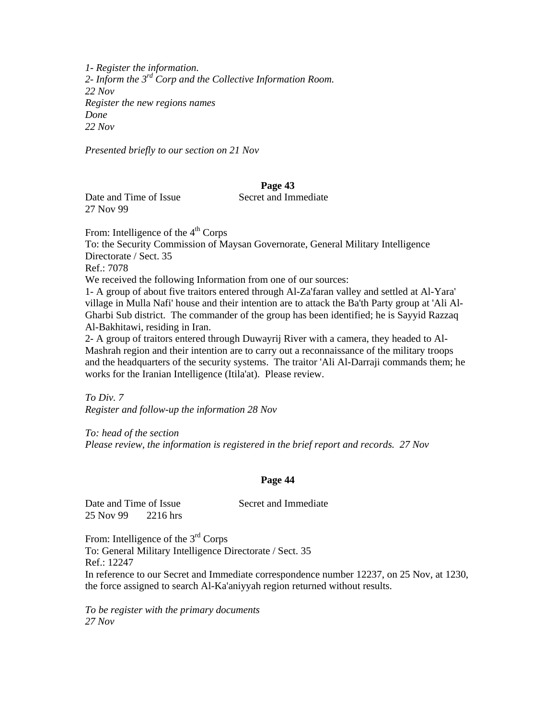*1- Register the information. 2- Inform the 3rd Corp and the Collective Information Room. 22 Nov Register the new regions names Done 22 Nov* 

*Presented briefly to our section on 21 Nov* 

# **Page 43**

Date and Time of Issue Secret and Immediate 27 Nov 99

From: Intelligence of the 4<sup>th</sup> Corps To: the Security Commission of Maysan Governorate, General Military Intelligence Directorate / Sect. 35 Ref.: 7078 We received the following Information from one of our sources: 1- A group of about five traitors entered through Al-Za'faran valley and settled at Al-Yara' village in Mulla Nafi' house and their intention are to attack the Ba'th Party group at 'Ali Al-Gharbi Sub district. The commander of the group has been identified; he is Sayyid Razzaq Al-Bakhitawi, residing in Iran.

2- A group of traitors entered through Duwayrij River with a camera, they headed to Al-Mashrah region and their intention are to carry out a reconnaissance of the military troops and the headquarters of the security systems. The traitor 'Ali Al-Darraji commands them; he works for the Iranian Intelligence (Itila'at). Please review.

*To Div. 7 Register and follow-up the information 28 Nov* 

*To: head of the section Please review, the information is registered in the brief report and records. 27 Nov* 

# **Page 44**

| Date and Time of Issue |          |  |  |
|------------------------|----------|--|--|
| 25 Nov 99              | 2216 hrs |  |  |

Secret and Immediate

From: Intelligence of the 3<sup>rd</sup> Corps To: General Military Intelligence Directorate / Sect. 35 Ref.: 12247 In reference to our Secret and Immediate correspondence number 12237, on 25 Nov, at 1230, the force assigned to search Al-Ka'aniyyah region returned without results.

*To be register with the primary documents 27 Nov*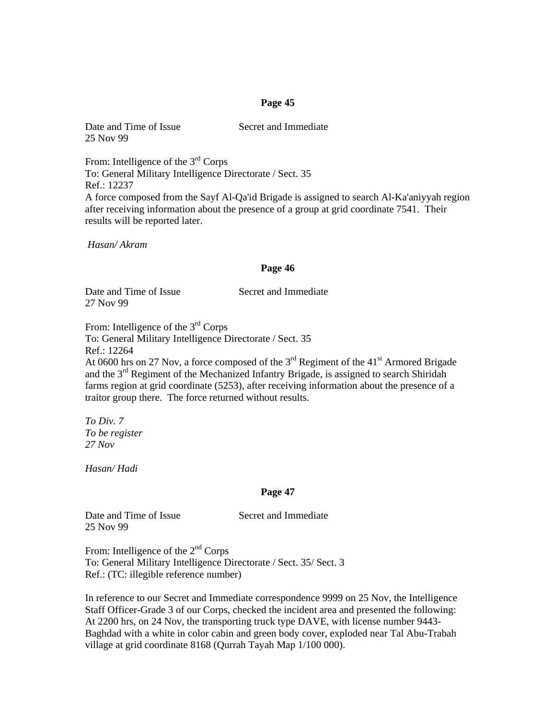Date and Time of Issue Secret and Immediate 25 Nov 99

From: Intelligence of the 3<sup>rd</sup> Corps To: General Military Intelligence Directorate / Sect. 35 Ref.: 12237 A force composed from the Sayf Al-Qa'id Brigade is assigned to search Al-Ka'aniyyah region after receiving information about the presence of a group at grid coordinate 7541. Their results will be reported later.

 *Hasan/ Akram* 

#### **Page 46**

Date and Time of Issue Secret and Immediate 27 Nov 99

From: Intelligence of the 3<sup>rd</sup> Corps To: General Military Intelligence Directorate / Sect. 35 Ref.: 12264 At 0600 hrs on 27 Nov, a force composed of the  $3<sup>rd</sup>$  Regiment of the 41<sup>st</sup> Armored Brigade and the 3rd Regiment of the Mechanized Infantry Brigade, is assigned to search Shiridah farms region at grid coordinate (5253), after receiving information about the presence of a traitor group there. The force returned without results.

*To Div. 7 To be register 27 Nov* 

*Hasan/ Hadi* 

#### **Page 47**

Date and Time of Issue Secret and Immediate 25 Nov 99

From: Intelligence of the  $2<sup>nd</sup>$  Corps To: General Military Intelligence Directorate / Sect. 35/ Sect. 3 Ref.: (TC: illegible reference number)

In reference to our Secret and Immediate correspondence 9999 on 25 Nov, the Intelligence Staff Officer-Grade 3 of our Corps, checked the incident area and presented the following: At 2200 hrs, on 24 Nov, the transporting truck type DAVE, with license number 9443- Baghdad with a white in color cabin and green body cover, exploded near Tal Abu-Trabah village at grid coordinate 8168 (Qurrah Tayah Map 1/100 000).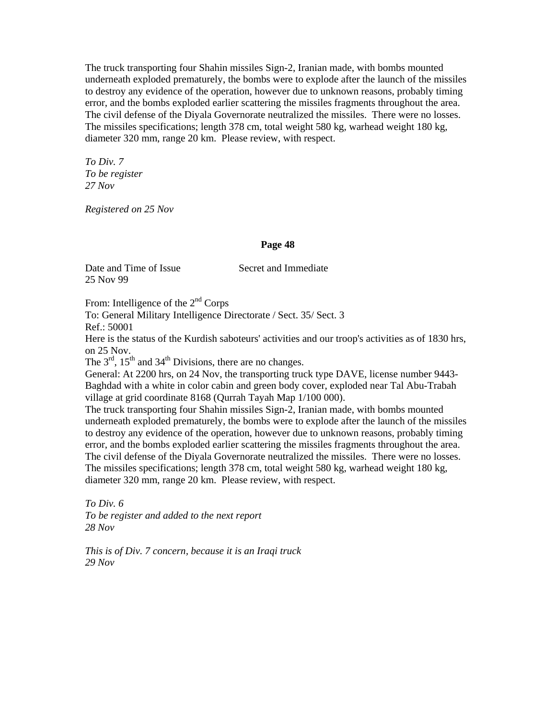The truck transporting four Shahin missiles Sign-2, Iranian made, with bombs mounted underneath exploded prematurely, the bombs were to explode after the launch of the missiles to destroy any evidence of the operation, however due to unknown reasons, probably timing error, and the bombs exploded earlier scattering the missiles fragments throughout the area. The civil defense of the Diyala Governorate neutralized the missiles. There were no losses. The missiles specifications; length 378 cm, total weight 580 kg, warhead weight 180 kg, diameter 320 mm, range 20 km. Please review, with respect.

*To Div. 7 To be register 27 Nov* 

*Registered on 25 Nov* 

# **Page 48**

Date and Time of Issue Secret and Immediate 25 Nov 99

From: Intelligence of the  $2<sup>nd</sup>$  Corps

To: General Military Intelligence Directorate / Sect. 35/ Sect. 3 Ref.: 50001

Here is the status of the Kurdish saboteurs' activities and our troop's activities as of 1830 hrs, on 25 Nov.

The  $3<sup>rd</sup>$ ,  $15<sup>th</sup>$  and  $34<sup>th</sup>$  Divisions, there are no changes.

General: At 2200 hrs, on 24 Nov, the transporting truck type DAVE, license number 9443- Baghdad with a white in color cabin and green body cover, exploded near Tal Abu-Trabah village at grid coordinate 8168 (Qurrah Tayah Map 1/100 000).

The truck transporting four Shahin missiles Sign-2, Iranian made, with bombs mounted underneath exploded prematurely, the bombs were to explode after the launch of the missiles to destroy any evidence of the operation, however due to unknown reasons, probably timing error, and the bombs exploded earlier scattering the missiles fragments throughout the area. The civil defense of the Diyala Governorate neutralized the missiles. There were no losses. The missiles specifications; length 378 cm, total weight 580 kg, warhead weight 180 kg, diameter 320 mm, range 20 km. Please review, with respect.

*To Div. 6 To be register and added to the next report 28 Nov* 

*This is of Div. 7 concern, because it is an Iraqi truck 29 Nov*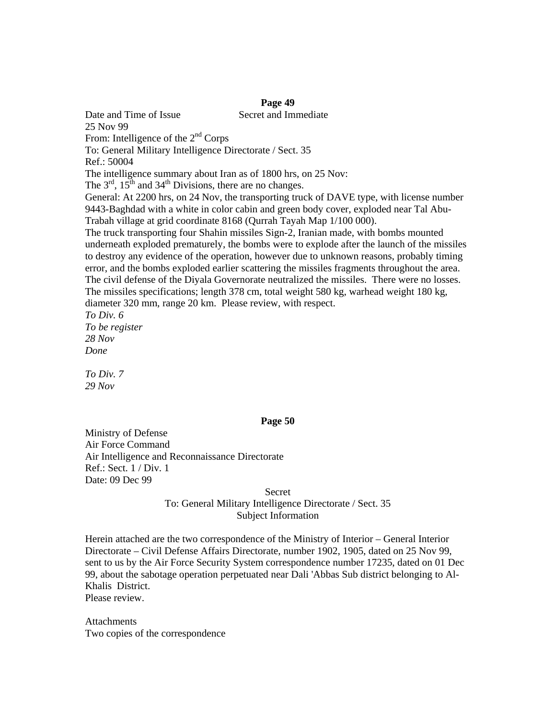Date and Time of Issue Secret and Immediate 25 Nov 99 From: Intelligence of the  $2<sup>nd</sup>$  Corps To: General Military Intelligence Directorate / Sect. 35 Ref.: 50004 The intelligence summary about Iran as of 1800 hrs, on 25 Nov: The  $3<sup>rd</sup>$ ,  $15<sup>th</sup>$  and  $34<sup>th</sup>$  Divisions, there are no changes. General: At 2200 hrs, on 24 Nov, the transporting truck of DAVE type, with license number 9443-Baghdad with a white in color cabin and green body cover, exploded near Tal Abu-Trabah village at grid coordinate 8168 (Qurrah Tayah Map 1/100 000). The truck transporting four Shahin missiles Sign-2, Iranian made, with bombs mounted underneath exploded prematurely, the bombs were to explode after the launch of the missiles to destroy any evidence of the operation, however due to unknown reasons, probably timing error, and the bombs exploded earlier scattering the missiles fragments throughout the area. The civil defense of the Diyala Governorate neutralized the missiles. There were no losses. The missiles specifications; length 378 cm, total weight 580 kg, warhead weight 180 kg, diameter 320 mm, range 20 km. Please review, with respect. *To Div. 6 To be register 28 Nov* 

*Done* 

*To Div. 7 29 Nov* 

#### **Page 50**

Ministry of Defense Air Force Command Air Intelligence and Reconnaissance Directorate Ref.: Sect. 1 / Div. 1 Date: 09 Dec 99

> Secret To: General Military Intelligence Directorate / Sect. 35 Subject Information

Herein attached are the two correspondence of the Ministry of Interior – General Interior Directorate – Civil Defense Affairs Directorate, number 1902, 1905, dated on 25 Nov 99, sent to us by the Air Force Security System correspondence number 17235, dated on 01 Dec 99, about the sabotage operation perpetuated near Dali 'Abbas Sub district belonging to Al-Khalis District. Please review.

**Attachments** Two copies of the correspondence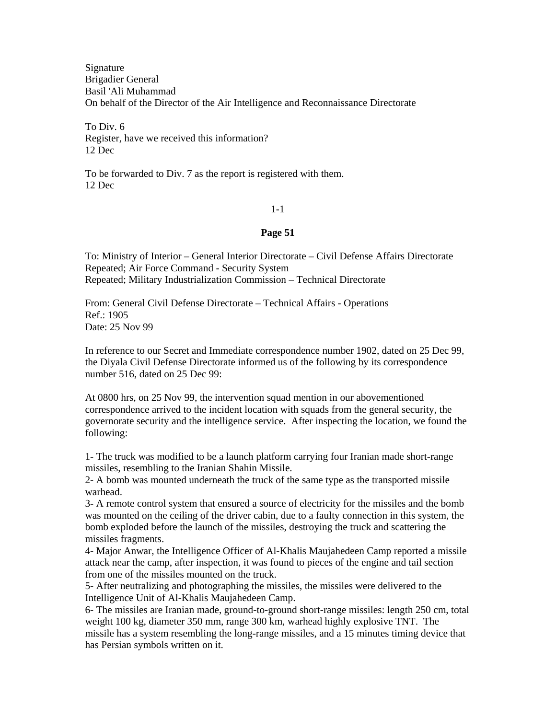Signature Brigadier General Basil 'Ali Muhammad On behalf of the Director of the Air Intelligence and Reconnaissance Directorate

To Div. 6 Register, have we received this information? 12 Dec

To be forwarded to Div. 7 as the report is registered with them. 12 Dec

# 1-1

#### **Page 51**

To: Ministry of Interior – General Interior Directorate – Civil Defense Affairs Directorate Repeated; Air Force Command - Security System Repeated; Military Industrialization Commission – Technical Directorate

From: General Civil Defense Directorate – Technical Affairs - Operations Ref.: 1905 Date: 25 Nov 99

In reference to our Secret and Immediate correspondence number 1902, dated on 25 Dec 99, the Diyala Civil Defense Directorate informed us of the following by its correspondence number 516, dated on 25 Dec 99:

At 0800 hrs, on 25 Nov 99, the intervention squad mention in our abovementioned correspondence arrived to the incident location with squads from the general security, the governorate security and the intelligence service. After inspecting the location, we found the following:

1- The truck was modified to be a launch platform carrying four Iranian made short-range missiles, resembling to the Iranian Shahin Missile.

2- A bomb was mounted underneath the truck of the same type as the transported missile warhead.

3- A remote control system that ensured a source of electricity for the missiles and the bomb was mounted on the ceiling of the driver cabin, due to a faulty connection in this system, the bomb exploded before the launch of the missiles, destroying the truck and scattering the missiles fragments.

4- Major Anwar, the Intelligence Officer of Al-Khalis Maujahedeen Camp reported a missile attack near the camp, after inspection, it was found to pieces of the engine and tail section from one of the missiles mounted on the truck.

5- After neutralizing and photographing the missiles, the missiles were delivered to the Intelligence Unit of Al-Khalis Maujahedeen Camp.

6- The missiles are Iranian made, ground-to-ground short-range missiles: length 250 cm, total weight 100 kg, diameter 350 mm, range 300 km, warhead highly explosive TNT. The missile has a system resembling the long-range missiles, and a 15 minutes timing device that has Persian symbols written on it.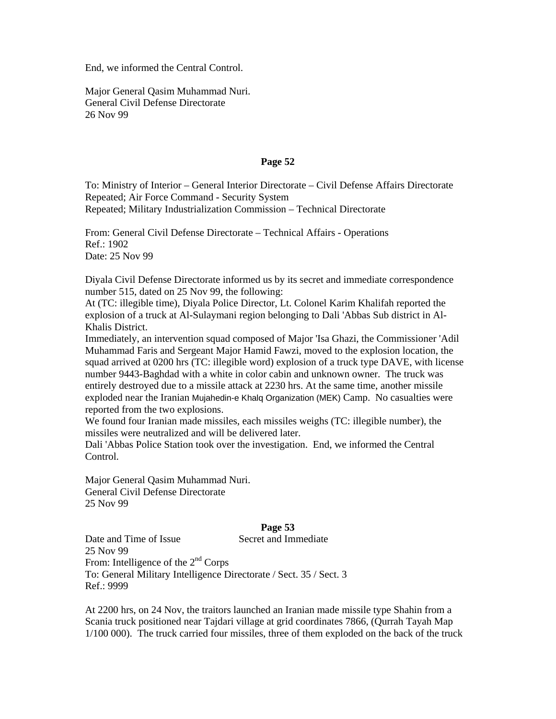End, we informed the Central Control.

Major General Qasim Muhammad Nuri. General Civil Defense Directorate 26 Nov 99

#### **Page 52**

To: Ministry of Interior – General Interior Directorate – Civil Defense Affairs Directorate Repeated; Air Force Command - Security System Repeated; Military Industrialization Commission – Technical Directorate

From: General Civil Defense Directorate – Technical Affairs - Operations Ref.: 1902 Date: 25 Nov 99

Diyala Civil Defense Directorate informed us by its secret and immediate correspondence number 515, dated on 25 Nov 99, the following:

At (TC: illegible time), Diyala Police Director, Lt. Colonel Karim Khalifah reported the explosion of a truck at Al-Sulaymani region belonging to Dali 'Abbas Sub district in Al-Khalis District.

Immediately, an intervention squad composed of Major 'Isa Ghazi, the Commissioner 'Adil Muhammad Faris and Sergeant Major Hamid Fawzi, moved to the explosion location, the squad arrived at 0200 hrs (TC: illegible word) explosion of a truck type DAVE, with license number 9443-Baghdad with a white in color cabin and unknown owner. The truck was entirely destroyed due to a missile attack at 2230 hrs. At the same time, another missile exploded near the Iranian Mujahedin-e Khalq Organization (MEK) Camp. No casualties were reported from the two explosions.

We found four Iranian made missiles, each missiles weighs (TC: illegible number), the missiles were neutralized and will be delivered later.

Dali 'Abbas Police Station took over the investigation. End, we informed the Central Control.

Major General Qasim Muhammad Nuri. General Civil Defense Directorate 25 Nov 99

# **Page 53**

Date and Time of Issue Secret and Immediate

25 Nov 99 From: Intelligence of the  $2<sup>nd</sup>$  Corps To: General Military Intelligence Directorate / Sect. 35 / Sect. 3 Ref.: 9999

At 2200 hrs, on 24 Nov, the traitors launched an Iranian made missile type Shahin from a Scania truck positioned near Tajdari village at grid coordinates 7866, (Qurrah Tayah Map 1/100 000). The truck carried four missiles, three of them exploded on the back of the truck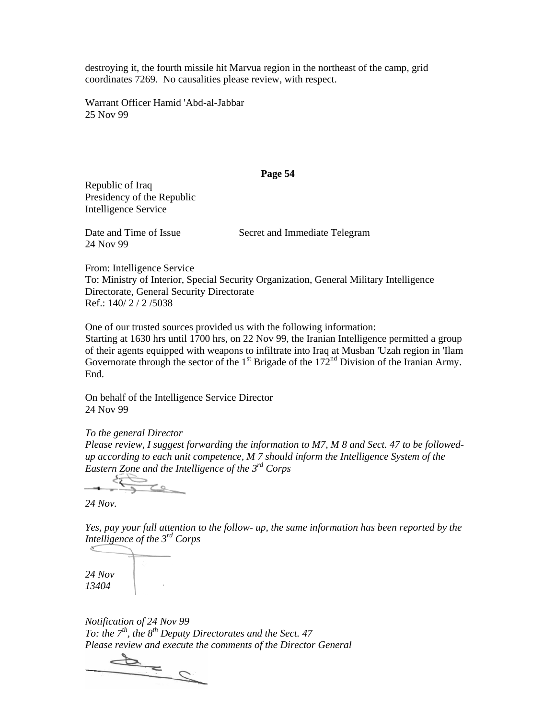destroying it, the fourth missile hit Marvua region in the northeast of the camp, grid coordinates 7269. No causalities please review, with respect.

Warrant Officer Hamid 'Abd-al-Jabbar 25 Nov 99

#### **Page 54**

Republic of Iraq Presidency of the Republic Intelligence Service

24 Nov 99

Date and Time of Issue Secret and Immediate Telegram

From: Intelligence Service To: Ministry of Interior, Special Security Organization, General Military Intelligence Directorate, General Security Directorate Ref.: 140/ 2 / 2 /5038

One of our trusted sources provided us with the following information:

Starting at 1630 hrs until 1700 hrs, on 22 Nov 99, the Iranian Intelligence permitted a group of their agents equipped with weapons to infiltrate into Iraq at Musban 'Uzah region in 'Ilam Governorate through the sector of the  $1<sup>st</sup>$  Brigade of the  $172<sup>nd</sup>$  Division of the Iranian Army. End.

On behalf of the Intelligence Service Director 24 Nov 99

*To the general Director Please review, I suggest forwarding the information to M7, M 8 and Sect. 47 to be followedup according to each unit competence, M 7 should inform the Intelligence System of the Eastern Zone and the Intelligence of the 3rd Corps* 

 $\tau$ 

*24 Nov.* 

*Yes, pay your full attention to the follow- up, the same information has been reported by the Intelligence of the 3rd Corps* 

*24 Nov 13404* 

*Notification of 24 Nov 99 To: the 7th, the 8th Deputy Directorates and the Sect. 47* 

*Please review and execute the comments of the Director General*  $\sum$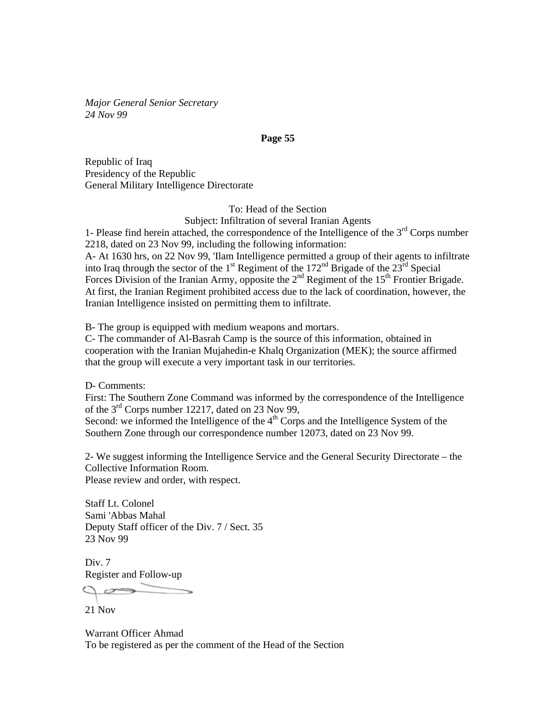*Major General Senior Secretary 24 Nov 99* 

#### **Page 55**

Republic of Iraq Presidency of the Republic General Military Intelligence Directorate

> To: Head of the Section Subject: Infiltration of several Iranian Agents

1- Please find herein attached, the correspondence of the Intelligence of the  $3<sup>rd</sup>$  Corps number 2218, dated on 23 Nov 99, including the following information: A- At 1630 hrs, on 22 Nov 99, 'Ilam Intelligence permitted a group of their agents to infiltrate into Iraq through the sector of the  $1<sup>st</sup>$  Regiment of the  $172<sup>nd</sup>$  Brigade of the  $23<sup>rd</sup>$  Special Forces Division of the Iranian Army, opposite the  $2<sup>nd</sup>$  Regiment of the  $15<sup>th</sup>$  Frontier Brigade. At first, the Iranian Regiment prohibited access due to the lack of coordination, however, the Iranian Intelligence insisted on permitting them to infiltrate.

B- The group is equipped with medium weapons and mortars.

C- The commander of Al-Basrah Camp is the source of this information, obtained in cooperation with the Iranian Mujahedin-e Khalq Organization (MEK); the source affirmed that the group will execute a very important task in our territories.

D- Comments:

First: The Southern Zone Command was informed by the correspondence of the Intelligence of the 3rd Corps number 12217, dated on 23 Nov 99,

Second: we informed the Intelligence of the  $4<sup>th</sup>$  Corps and the Intelligence System of the Southern Zone through our correspondence number 12073, dated on 23 Nov 99.

2- We suggest informing the Intelligence Service and the General Security Directorate – the Collective Information Room. Please review and order, with respect.

Staff Lt. Colonel Sami 'Abbas Mahal Deputy Staff officer of the Div. 7 / Sect. 35 23 Nov 99

Div. 7 Register and Follow-up

21 Nov

Warrant Officer Ahmad To be registered as per the comment of the Head of the Section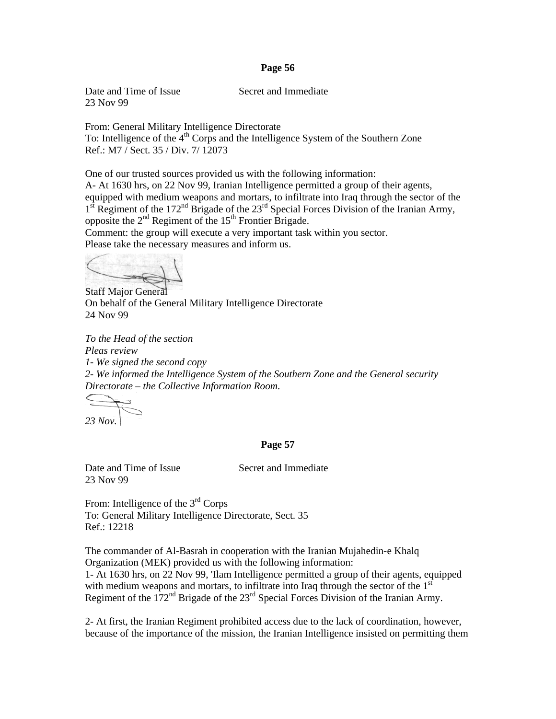Date and Time of Issue Secret and Immediate 23 Nov 99

From: General Military Intelligence Directorate To: Intelligence of the 4<sup>th</sup> Corps and the Intelligence System of the Southern Zone Ref.: M7 / Sect. 35 / Div. 7/ 12073

One of our trusted sources provided us with the following information:

A- At 1630 hrs, on 22 Nov 99, Iranian Intelligence permitted a group of their agents, equipped with medium weapons and mortars, to infiltrate into Iraq through the sector of the  $1<sup>st</sup>$  Regiment of the 172<sup>nd</sup> Brigade of the 23<sup>rd</sup> Special Forces Division of the Iranian Army, opposite the  $2<sup>nd</sup>$  Regiment of the  $15<sup>th</sup>$  Frontier Brigade.

Comment: the group will execute a very important task within you sector. Please take the necessary measures and inform us.

Staff Major General On behalf of the General Military Intelligence Directorate 24 Nov 99

*To the Head of the section Pleas review 1- We signed the second copy 2- We informed the Intelligence System of the Southern Zone and the General security Directorate – the Collective Information Room.* 

*23 Nov.* 

#### **Page 57**

Date and Time of Issue Secret and Immediate 23 Nov 99

From: Intelligence of the 3<sup>rd</sup> Corps To: General Military Intelligence Directorate, Sect. 35 Ref.: 12218

The commander of Al-Basrah in cooperation with the Iranian Mujahedin-e Khalq Organization (MEK) provided us with the following information: 1- At 1630 hrs, on 22 Nov 99, 'Ilam Intelligence permitted a group of their agents, equipped with medium weapons and mortars, to infiltrate into Iraq through the sector of the  $1<sup>st</sup>$ Regiment of the  $172<sup>nd</sup>$  Brigade of the  $23<sup>rd</sup>$  Special Forces Division of the Iranian Army.

2- At first, the Iranian Regiment prohibited access due to the lack of coordination, however, because of the importance of the mission, the Iranian Intelligence insisted on permitting them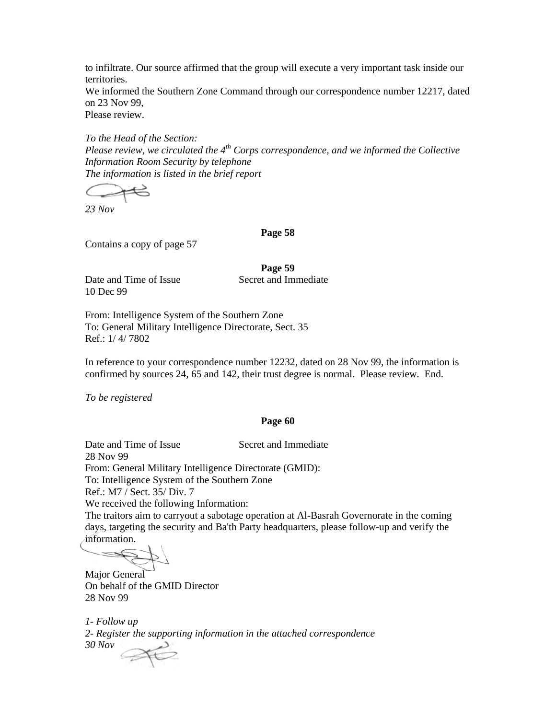to infiltrate. Our source affirmed that the group will execute a very important task inside our territories.

We informed the Southern Zone Command through our correspondence number 12217, dated on 23 Nov 99,

Please review.

*To the Head of the Section: Please review, we circulated the 4th Corps correspondence, and we informed the Collective Information Room Security by telephone The information is listed in the brief report* 

*23 Nov* 

**Page 58** 

Contains a copy of page 57

**Page 59** 

Date and Time of Issue Secret and Immediate 10 Dec 99

From: Intelligence System of the Southern Zone To: General Military Intelligence Directorate, Sect. 35 Ref.: 1/ 4/ 7802

In reference to your correspondence number 12232, dated on 28 Nov 99, the information is confirmed by sources 24, 65 and 142, their trust degree is normal. Please review. End.

*To be registered* 

# **Page 60**

Date and Time of Issue Secret and Immediate 28 Nov 99 From: General Military Intelligence Directorate (GMID): To: Intelligence System of the Southern Zone Ref.: M7 / Sect. 35/ Div. 7 We received the following Information: The traitors aim to carryout a sabotage operation at Al-Basrah Governorate in the coming days, targeting the security and Ba'th Party headquarters, please follow-up and verify the

information.

Major General On behalf of the GMID Director 28 Nov 99

*1- Follow up 2- Register the supporting information in the attached correspondence 30 Nov*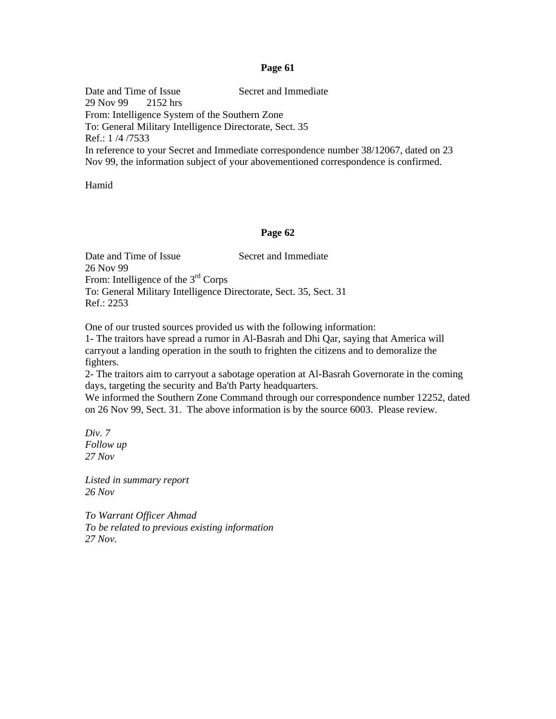Date and Time of Issue Secret and Immediate 29 Nov 99 2152 hrs From: Intelligence System of the Southern Zone To: General Military Intelligence Directorate, Sect. 35 Ref.: 1 /4 /7533 In reference to your Secret and Immediate correspondence number 38/12067, dated on 23 Nov 99, the information subject of your abovementioned correspondence is confirmed.

Hamid

#### **Page 62**

Date and Time of Issue Secret and Immediate 26 Nov 99 From: Intelligence of the  $3<sup>rd</sup>$  Corps To: General Military Intelligence Directorate, Sect. 35, Sect. 31 Ref.: 2253

One of our trusted sources provided us with the following information:

1- The traitors have spread a rumor in Al-Basrah and Dhi Qar, saying that America will carryout a landing operation in the south to frighten the citizens and to demoralize the fighters.

2- The traitors aim to carryout a sabotage operation at Al-Basrah Governorate in the coming days, targeting the security and Ba'th Party headquarters.

We informed the Southern Zone Command through our correspondence number 12252, dated on 26 Nov 99, Sect. 31. The above information is by the source 6003. Please review.

*Div. 7 Follow up 27 Nov* 

*Listed in summary report 26 Nov* 

*To Warrant Officer Ahmad To be related to previous existing information 27 Nov.*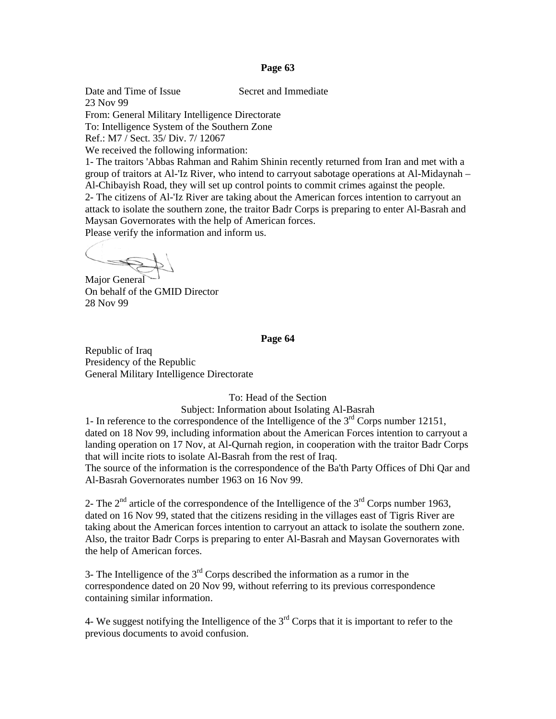Date and Time of Issue Secret and Immediate

23 Nov 99 From: General Military Intelligence Directorate To: Intelligence System of the Southern Zone Ref.: M7 / Sect. 35/ Div. 7/ 12067 We received the following information:

1- The traitors 'Abbas Rahman and Rahim Shinin recently returned from Iran and met with a group of traitors at Al-'Iz River, who intend to carryout sabotage operations at Al-Midaynah – Al-Chibayish Road, they will set up control points to commit crimes against the people. 2- The citizens of Al-'Iz River are taking about the American forces intention to carryout an attack to isolate the southern zone, the traitor Badr Corps is preparing to enter Al-Basrah and Maysan Governorates with the help of American forces. Please verify the information and inform us.

 $\zeta$ 

Major General On behalf of the GMID Director 28 Nov 99

#### **Page 64**

Republic of Iraq Presidency of the Republic General Military Intelligence Directorate

To: Head of the Section

Subject: Information about Isolating Al-Basrah

1- In reference to the correspondence of the Intelligence of the  $3<sup>rd</sup>$  Corps number 12151, dated on 18 Nov 99, including information about the American Forces intention to carryout a landing operation on 17 Nov, at Al-Qurnah region, in cooperation with the traitor Badr Corps that will incite riots to isolate Al-Basrah from the rest of Iraq.

The source of the information is the correspondence of the Ba'th Party Offices of Dhi Qar and Al-Basrah Governorates number 1963 on 16 Nov 99.

2- The  $2<sup>nd</sup>$  article of the correspondence of the Intelligence of the  $3<sup>rd</sup>$  Corps number 1963, dated on 16 Nov 99, stated that the citizens residing in the villages east of Tigris River are taking about the American forces intention to carryout an attack to isolate the southern zone. Also, the traitor Badr Corps is preparing to enter Al-Basrah and Maysan Governorates with the help of American forces.

3- The Intelligence of the  $3<sup>rd</sup>$  Corps described the information as a rumor in the correspondence dated on 20 Nov 99, without referring to its previous correspondence containing similar information.

4- We suggest notifying the Intelligence of the  $3<sup>rd</sup>$  Corps that it is important to refer to the previous documents to avoid confusion.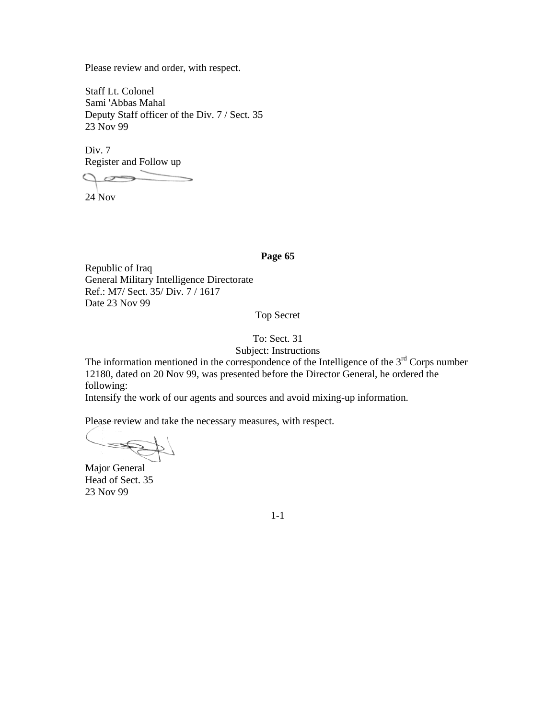Please review and order, with respect.

Staff Lt. Colonel Sami 'Abbas Mahal Deputy Staff officer of the Div. 7 / Sect. 35 23 Nov 99

Div. 7 Register and Follow up

24 Nov

# **Page 65**

Republic of Iraq General Military Intelligence Directorate Ref.: M7/ Sect. 35/ Div. 7 / 1617 Date 23 Nov 99

Top Secret

# To: Sect. 31

Subject: Instructions

The information mentioned in the correspondence of the Intelligence of the  $3<sup>rd</sup>$  Corps number 12180, dated on 20 Nov 99, was presented before the Director General, he ordered the following:

Intensify the work of our agents and sources and avoid mixing-up information.

Please review and take the necessary measures, with respect.

Major General Head of Sect. 35 23 Nov 99

1-1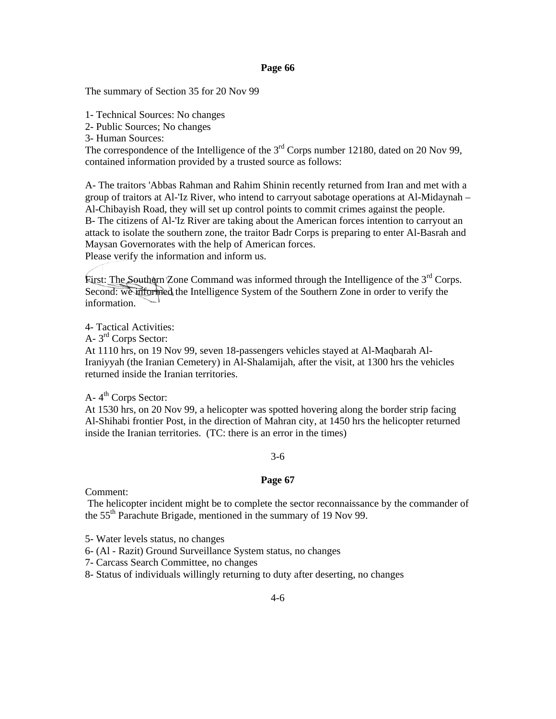The summary of Section 35 for 20 Nov 99

1- Technical Sources: No changes

2- Public Sources; No changes

3- Human Sources:

The correspondence of the Intelligence of the  $3<sup>rd</sup>$  Corps number 12180, dated on 20 Nov 99, contained information provided by a trusted source as follows:

A- The traitors 'Abbas Rahman and Rahim Shinin recently returned from Iran and met with a group of traitors at Al-'Iz River, who intend to carryout sabotage operations at Al-Midaynah – Al-Chibayish Road, they will set up control points to commit crimes against the people. B- The citizens of Al-'Iz River are taking about the American forces intention to carryout an attack to isolate the southern zone, the traitor Badr Corps is preparing to enter Al-Basrah and Maysan Governorates with the help of American forces. Please verify the information and inform us.

First: The Southern Zone Command was informed through the Intelligence of the  $3<sup>rd</sup>$  Corps. Second: we informed the Intelligence System of the Southern Zone in order to verify the information.

4- Tactical Activities:

A- 3<sup>rd</sup> Corps Sector:

At 1110 hrs, on 19 Nov 99, seven 18-passengers vehicles stayed at Al-Maqbarah Al-Iraniyyah (the Iranian Cemetery) in Al-Shalamijah, after the visit, at 1300 hrs the vehicles returned inside the Iranian territories.

 $A-4<sup>th</sup>$  Corps Sector:

At 1530 hrs, on 20 Nov 99, a helicopter was spotted hovering along the border strip facing Al-Shihabi frontier Post, in the direction of Mahran city, at 1450 hrs the helicopter returned inside the Iranian territories. (TC: there is an error in the times)

# 3-6

# **Page 67**

Comment:

 The helicopter incident might be to complete the sector reconnaissance by the commander of the 55<sup>th</sup> Parachute Brigade, mentioned in the summary of 19 Nov 99.

5- Water levels status, no changes

6- (Al - Razit) Ground Surveillance System status, no changes

7- Carcass Search Committee, no changes

8- Status of individuals willingly returning to duty after deserting, no changes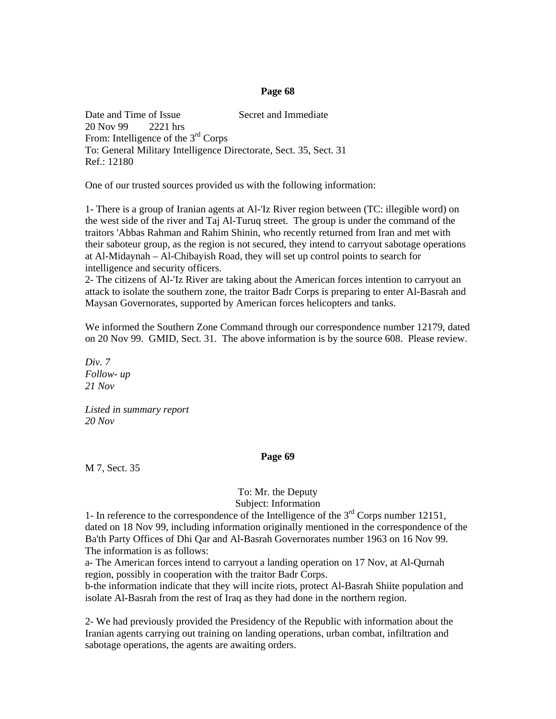Date and Time of Issue Secret and Immediate 20 Nov 99 2221 hrs From: Intelligence of the  $3<sup>rd</sup>$  Corps To: General Military Intelligence Directorate, Sect. 35, Sect. 31 Ref.: 12180

One of our trusted sources provided us with the following information:

1- There is a group of Iranian agents at Al-'Iz River region between (TC: illegible word) on the west side of the river and Taj Al-Turuq street. The group is under the command of the traitors 'Abbas Rahman and Rahim Shinin, who recently returned from Iran and met with their saboteur group, as the region is not secured, they intend to carryout sabotage operations at Al-Midaynah – Al-Chibayish Road, they will set up control points to search for intelligence and security officers.

2- The citizens of Al-'Iz River are taking about the American forces intention to carryout an attack to isolate the southern zone, the traitor Badr Corps is preparing to enter Al-Basrah and Maysan Governorates, supported by American forces helicopters and tanks.

We informed the Southern Zone Command through our correspondence number 12179, dated on 20 Nov 99. GMID, Sect. 31. The above information is by the source 608. Please review.

*Div. 7 Follow- up 21 Nov* 

*Listed in summary report 20 Nov* 

#### **Page 69**

M 7, Sect. 35

To: Mr. the Deputy Subject: Information

1- In reference to the correspondence of the Intelligence of the  $3<sup>rd</sup>$  Corps number 12151, dated on 18 Nov 99, including information originally mentioned in the correspondence of the Ba'th Party Offices of Dhi Qar and Al-Basrah Governorates number 1963 on 16 Nov 99. The information is as follows:

a- The American forces intend to carryout a landing operation on 17 Nov, at Al-Qurnah region, possibly in cooperation with the traitor Badr Corps.

b-the information indicate that they will incite riots, protect Al-Basrah Shiite population and isolate Al-Basrah from the rest of Iraq as they had done in the northern region.

2- We had previously provided the Presidency of the Republic with information about the Iranian agents carrying out training on landing operations, urban combat, infiltration and sabotage operations, the agents are awaiting orders.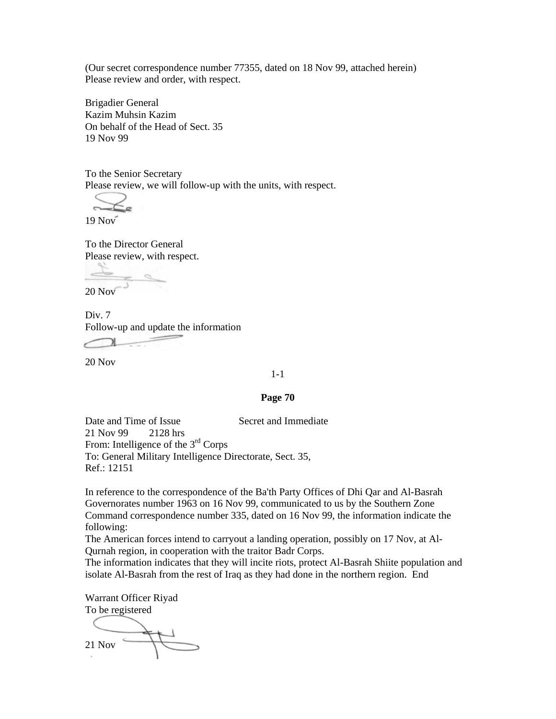(Our secret correspondence number 77355, dated on 18 Nov 99, attached herein) Please review and order, with respect.

Brigadier General Kazim Muhsin Kazim On behalf of the Head of Sect. 35 19 Nov 99

To the Senior Secretary Please review, we will follow-up with the units, with respect.

19 Nov

To the Director General Please review, with respect.

20 Nov

Div. 7 Follow-up and update the information

20 Nov

1-1

#### **Page 70**

Date and Time of Issue Secret and Immediate 21 Nov 99 2128 hrs From: Intelligence of the 3<sup>rd</sup> Corps To: General Military Intelligence Directorate, Sect. 35, Ref.: 12151

In reference to the correspondence of the Ba'th Party Offices of Dhi Qar and Al-Basrah Governorates number 1963 on 16 Nov 99, communicated to us by the Southern Zone Command correspondence number 335, dated on 16 Nov 99, the information indicate the following:

The American forces intend to carryout a landing operation, possibly on 17 Nov, at Al-Qurnah region, in cooperation with the traitor Badr Corps.

The information indicates that they will incite riots, protect Al-Basrah Shiite population and isolate Al-Basrah from the rest of Iraq as they had done in the northern region. End

Warrant Officer Riyad To be registered

21 Nov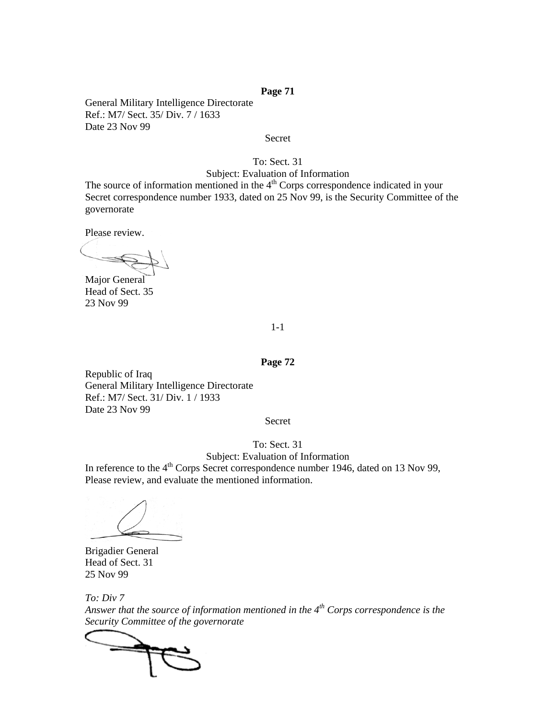General Military Intelligence Directorate Ref.: M7/ Sect. 35/ Div. 7 / 1633 Date 23 Nov 99

Secret

#### To: Sect. 31

Subject: Evaluation of Information The source of information mentioned in the  $4<sup>th</sup>$  Corps correspondence indicated in your Secret correspondence number 1933, dated on 25 Nov 99, is the Security Committee of the governorate

Please review.

Major General Head of Sect. 35 23 Nov 99

#### 1-1

#### **Page 72**

Republic of Iraq General Military Intelligence Directorate Ref.: M7/ Sect. 31/ Div. 1 / 1933 Date 23 Nov 99

#### Secret

# To: Sect. 31

Subject: Evaluation of Information In reference to the 4<sup>th</sup> Corps Secret correspondence number 1946, dated on 13 Nov 99, Please review, and evaluate the mentioned information.

Brigadier General Head of Sect. 31 25 Nov 99

*To: Div 7 Answer that the source of information mentioned in the 4th Corps correspondence is the Security Committee of the governorate* 

C  $\rightarrow$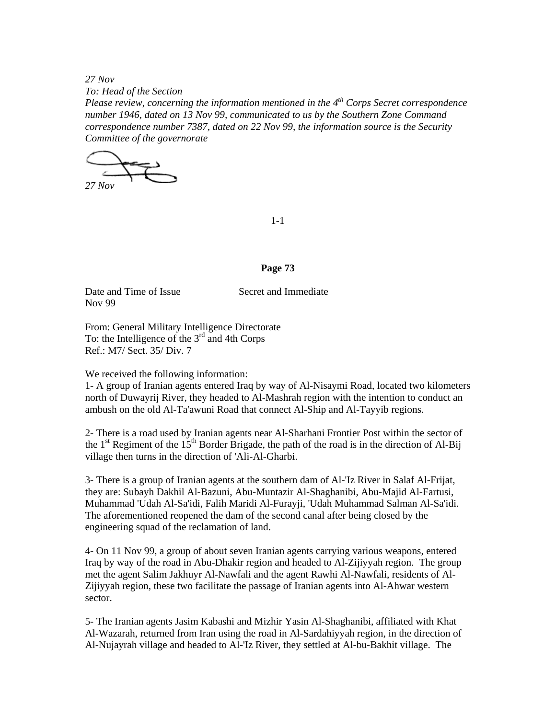*27 Nov To: Head of the Section* 

*Please review, concerning the information mentioned in the 4th Corps Secret correspondence number 1946, dated on 13 Nov 99, communicated to us by the Southern Zone Command correspondence number 7387, dated on 22 Nov 99, the information source is the Security Committee of the governorate* 

*27 Nov* 

1-1

#### **Page 73**

Date and Time of Issue Secret and Immediate Nov 99

From: General Military Intelligence Directorate To: the Intelligence of the  $3<sup>rd</sup>$  and 4th Corps Ref.: M7/ Sect. 35/ Div. 7

We received the following information:

1- A group of Iranian agents entered Iraq by way of Al-Nisaymi Road, located two kilometers north of Duwayrij River, they headed to Al-Mashrah region with the intention to conduct an ambush on the old Al-Ta'awuni Road that connect Al-Ship and Al-Tayyib regions.

2- There is a road used by Iranian agents near Al-Sharhani Frontier Post within the sector of the  $1<sup>st</sup>$  Regiment of the  $15<sup>th</sup>$  Border Brigade, the path of the road is in the direction of Al-Bij village then turns in the direction of 'Ali-Al-Gharbi.

3- There is a group of Iranian agents at the southern dam of Al-'Iz River in Salaf Al-Frijat, they are: Subayh Dakhil Al-Bazuni, Abu-Muntazir Al-Shaghanibi, Abu-Majid Al-Fartusi, Muhammad 'Udah Al-Sa'idi, Falih Maridi Al-Furayji, 'Udah Muhammad Salman Al-Sa'idi. The aforementioned reopened the dam of the second canal after being closed by the engineering squad of the reclamation of land.

4- On 11 Nov 99, a group of about seven Iranian agents carrying various weapons, entered Iraq by way of the road in Abu-Dhakir region and headed to Al-Zijiyyah region. The group met the agent Salim Jakhuyr Al-Nawfali and the agent Rawhi Al-Nawfali, residents of Al-Zijiyyah region, these two facilitate the passage of Iranian agents into Al-Ahwar western sector.

5- The Iranian agents Jasim Kabashi and Mizhir Yasin Al-Shaghanibi, affiliated with Khat Al-Wazarah, returned from Iran using the road in Al-Sardahiyyah region, in the direction of Al-Nujayrah village and headed to Al-'Iz River, they settled at Al-bu-Bakhit village. The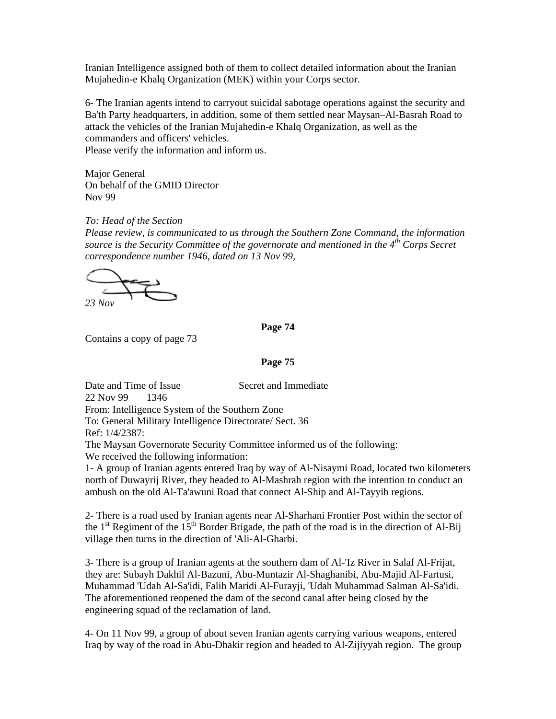Iranian Intelligence assigned both of them to collect detailed information about the Iranian Mujahedin-e Khalq Organization (MEK) within your Corps sector.

6- The Iranian agents intend to carryout suicidal sabotage operations against the security and Ba'th Party headquarters, in addition, some of them settled near Maysan–Al-Basrah Road to attack the vehicles of the Iranian Mujahedin-e Khalq Organization, as well as the commanders and officers' vehicles.

Please verify the information and inform us.

Major General On behalf of the GMID Director Nov 99

*To: Head of the Section* 

*Please review, is communicated to us through the Southern Zone Command, the information source is the Security Committee of the governorate and mentioned in the 4th Corps Secret correspondence number 1946, dated on 13 Nov 99,* 

*23 Nov* 

**Page 74** 

Contains a copy of page 73

**Page 75** 

Date and Time of Issue Secret and Immediate 22 Nov 99 1346 From: Intelligence System of the Southern Zone To: General Military Intelligence Directorate/ Sect. 36 Ref: 1/4/2387: The Maysan Governorate Security Committee informed us of the following: We received the following information: 1- A group of Iranian agents entered Iraq by way of Al-Nisaymi Road, located two kilometers

north of Duwayrij River, they headed to Al-Mashrah region with the intention to conduct an ambush on the old Al-Ta'awuni Road that connect Al-Ship and Al-Tayyib regions.

2- There is a road used by Iranian agents near Al-Sharhani Frontier Post within the sector of the 1<sup>st</sup> Regiment of the 15<sup>th</sup> Border Brigade, the path of the road is in the direction of Al-Bij village then turns in the direction of 'Ali-Al-Gharbi.

3- There is a group of Iranian agents at the southern dam of Al-'Iz River in Salaf Al-Frijat, they are: Subayh Dakhil Al-Bazuni, Abu-Muntazir Al-Shaghanibi, Abu-Majid Al-Fartusi, Muhammad 'Udah Al-Sa'idi, Falih Maridi Al-Furayji, 'Udah Muhammad Salman Al-Sa'idi. The aforementioned reopened the dam of the second canal after being closed by the engineering squad of the reclamation of land.

4- On 11 Nov 99, a group of about seven Iranian agents carrying various weapons, entered Iraq by way of the road in Abu-Dhakir region and headed to Al-Zijiyyah region. The group